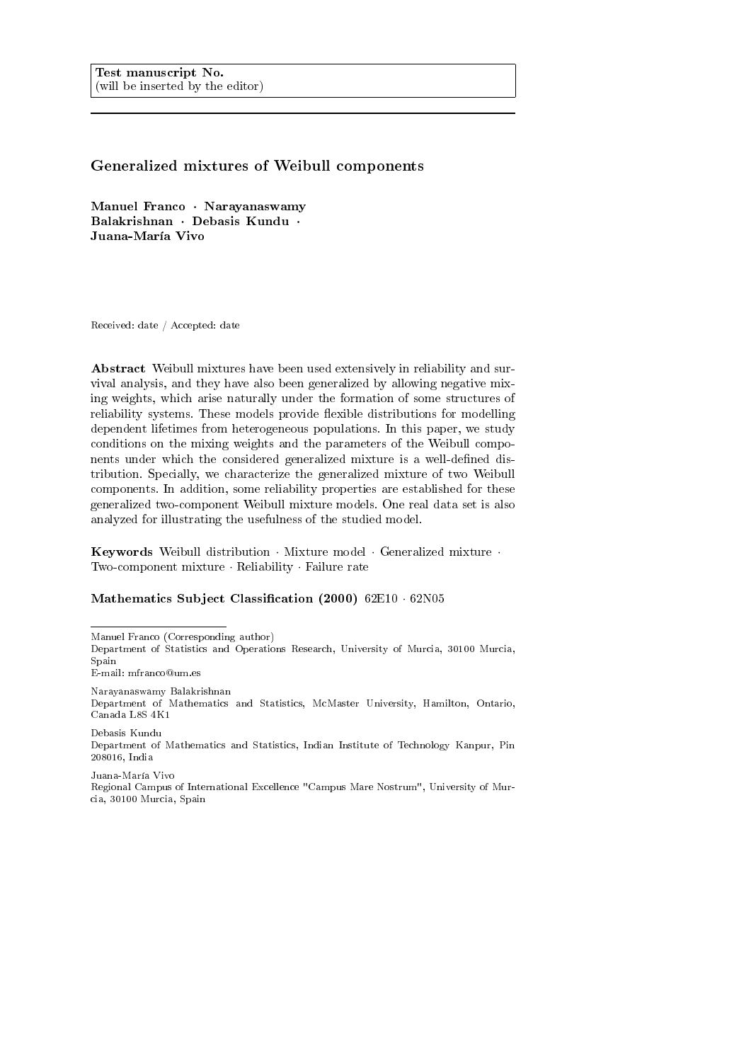# Generalized mixtures of Weibull components

Manuel Franco · Narayanaswamy Balakrishnan · Debasis Kundu · Juana-María Vivo

Received: date / Accepted: date

Abstract Weibull mixtures have been used extensively in reliability and survival analysis, and they have also been generalized by allowing negative mixing weights, which arise naturally under the formation of some structures of reliability systems. These models provide flexible distributions for modelling dependent lifetimes from heterogeneous populations. In this paper, we study conditions on the mixing weights and the parameters of the Weibull components under which the considered generalized mixture is a well-defined distribution. Specially, we characterize the generalized mixture of two Weibull components. In addition, some reliability properties are established for these generalized two-component Weibull mixture models. One real data set is also analyzed for illustrating the usefulness of the studied model.

Keywords Weibull distribution · Mixture model · Generalized mixture · Two-component mixture · Reliability · Failure rate

## Mathematics Subject Classification (2000) 62E10 · 62N05

Manuel Franco (Corresponding author)

Department of Statistics and Operations Research, University of Murcia, 30100 Murcia, Spain

E-mail: mfranco@um.es

Narayanaswamy Balakrishnan Department of Mathematics and Statistics, McMaster University, Hamilton, Ontario, Canada L8S 4K1

Debasis Kundu Department of Mathematics and Statistics, Indian Institute of Technology Kanpur, Pin 208016, India

Juana-María Vivo Regional Campus of International Excellence "Campus Mare Nostrum", University of Murcia, 30100 Murcia, Spain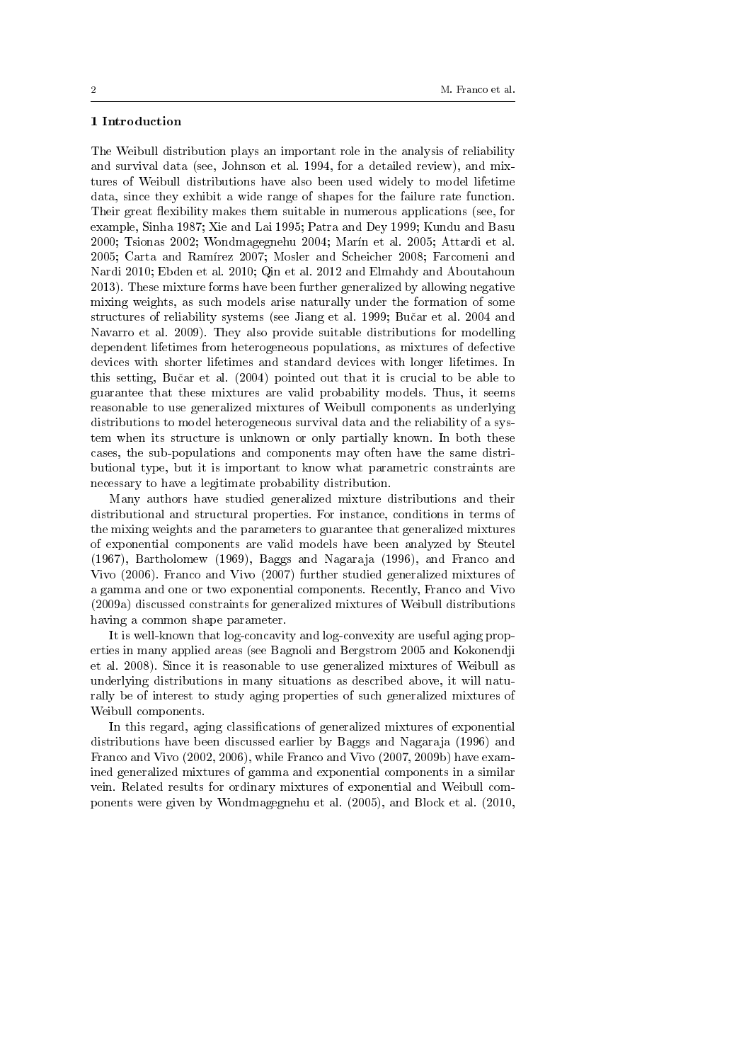## 1 Introduction

The Weibull distribution plays an important role in the analysis of reliability and survival data (see, Johnson et al. 1994, for a detailed review), and mixtures of Weibull distributions have also been used widely to model lifetime data, since they exhibit a wide range of shapes for the failure rate function. Their great flexibility makes them suitable in numerous applications (see, for example, Sinha 1987; Xie and Lai 1995; Patra and Dey 1999; Kundu and Basu 2000; Tsionas 2002; Wondmagegnehu 2004; Marín et al. 2005; Attardi et al. 2005; Carta and Ramírez 2007; Mosler and Scheicher 2008; Farcomeni and Nardi 2010; Ebden et al. 2010; Qin et al. 2012 and Elmahdy and Aboutahoun 2013). These mixture forms have been further generalized by allowing negative mixing weights, as such models arise naturally under the formation of some structures of reliability systems (see Jiang et al. 1999; Bučar et al. 2004 and Navarro et al. 2009). They also provide suitable distributions for modelling dependent lifetimes from heterogeneous populations, as mixtures of defective devices with shorter lifetimes and standard devices with longer lifetimes. In this setting, Buˇcar et al. (2004) pointed out that it is crucial to be able to guarantee that these mixtures are valid probability models. Thus, it seems reasonable to use generalized mixtures of Weibull components as underlying distributions to model heterogeneous survival data and the reliability of a system when its structure is unknown or only partially known. In both these cases, the sub-populations and components may often have the same distributional type, but it is important to know what parametric constraints are necessary to have a legitimate probability distribution.

Many authors have studied generalized mixture distributions and their distributional and structural properties. For instance, conditions in terms of the mixing weights and the parameters to guarantee that generalized mixtures of exponential components are valid models have been analyzed by Steutel (1967), Bartholomew (1969), Baggs and Nagaraja (1996), and Franco and Vivo (2006). Franco and Vivo (2007) further studied generalized mixtures of a gamma and one or two exponential components. Recently, Franco and Vivo (2009a) discussed constraints for generalized mixtures of Weibull distributions having a common shape parameter.

It is well-known that log-concavity and log-convexity are useful aging properties in many applied areas (see Bagnoli and Bergstrom 2005 and Kokonendji et al. 2008). Since it is reasonable to use generalized mixtures of Weibull as underlying distributions in many situations as described above, it will naturally be of interest to study aging properties of such generalized mixtures of Weibull components.

In this regard, aging classifications of generalized mixtures of exponential distributions have been discussed earlier by Baggs and Nagaraja (1996) and Franco and Vivo (2002, 2006), while Franco and Vivo (2007, 2009b) have examined generalized mixtures of gamma and exponential components in a similar vein. Related results for ordinary mixtures of exponential and Weibull components were given by Wondmagegnehu et al. (2005), and Block et al. (2010,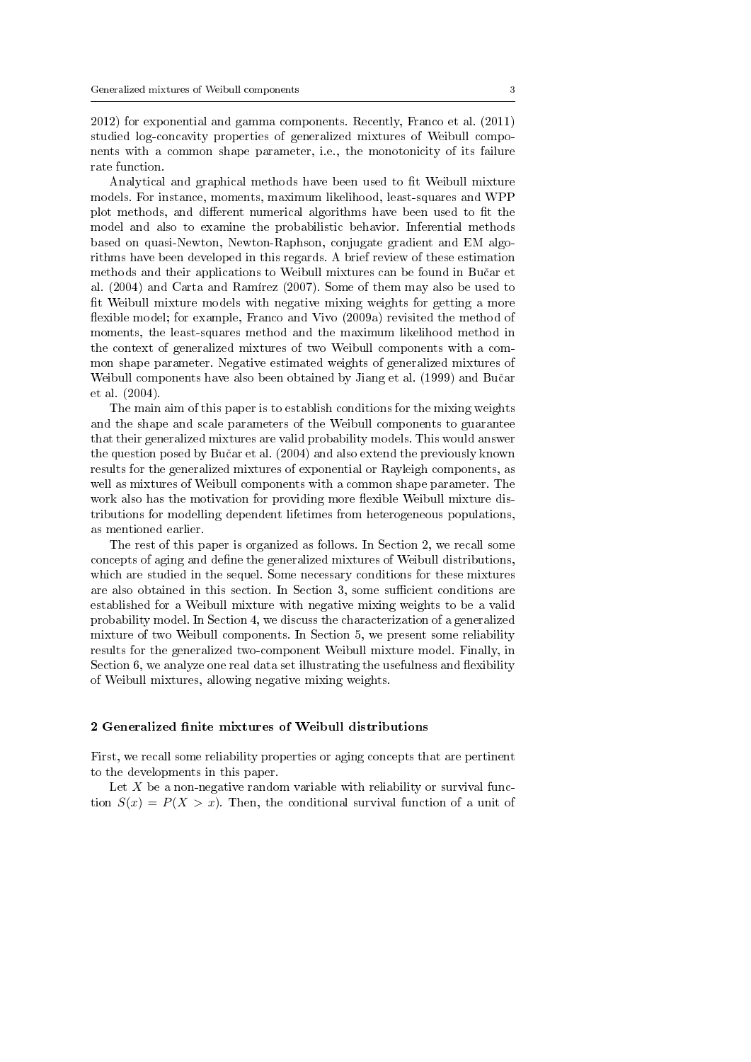2012) for exponential and gamma components. Recently, Franco et al. (2011) studied log-concavity properties of generalized mixtures of Weibull components with a common shape parameter, i.e., the monotonicity of its failure rate function.

Analytical and graphical methods have been used to fit Weibull mixture models. For instance, moments, maximum likelihood, least-squares and WPP plot methods, and different numerical algorithms have been used to fit the model and also to examine the probabilistic behavior. Inferential methods based on quasi-Newton, Newton-Raphson, conjugate gradient and EM algorithms have been developed in this regards. A brief review of these estimation methods and their applications to Weibull mixtures can be found in Bučar et al. (2004) and Carta and Ramírez (2007). Some of them may also be used to fit Weibull mixture models with negative mixing weights for getting a more flexible model; for example, Franco and Vivo (2009a) revisited the method of moments, the least-squares method and the maximum likelihood method in the context of generalized mixtures of two Weibull components with a common shape parameter. Negative estimated weights of generalized mixtures of Weibull components have also been obtained by Jiang et al. (1999) and Bučar et al. (2004).

The main aim of this paper is to establish conditions for the mixing weights and the shape and scale parameters of the Weibull components to guarantee that their generalized mixtures are valid probability models. This would answer the question posed by Bučar et al. (2004) and also extend the previously known results for the generalized mixtures of exponential or Rayleigh components, as well as mixtures of Weibull components with a common shape parameter. The work also has the motivation for providing more flexible Weibull mixture distributions for modelling dependent lifetimes from heterogeneous populations, as mentioned earlier.

The rest of this paper is organized as follows. In Section 2, we recall some concepts of aging and dene the generalized mixtures of Weibull distributions, which are studied in the sequel. Some necessary conditions for these mixtures are also obtained in this section. In Section 3, some sufficient conditions are established for a Weibull mixture with negative mixing weights to be a valid probability model. In Section 4, we discuss the characterization of a generalized mixture of two Weibull components. In Section 5, we present some reliability results for the generalized two-component Weibull mixture model. Finally, in Section 6, we analyze one real data set illustrating the usefulness and flexibility of Weibull mixtures, allowing negative mixing weights.

### 2 Generalized finite mixtures of Weibull distributions

First, we recall some reliability properties or aging concepts that are pertinent to the developments in this paper.

Let  $X$  be a non-negative random variable with reliability or survival function  $S(x) = P(X > x)$ . Then, the conditional survival function of a unit of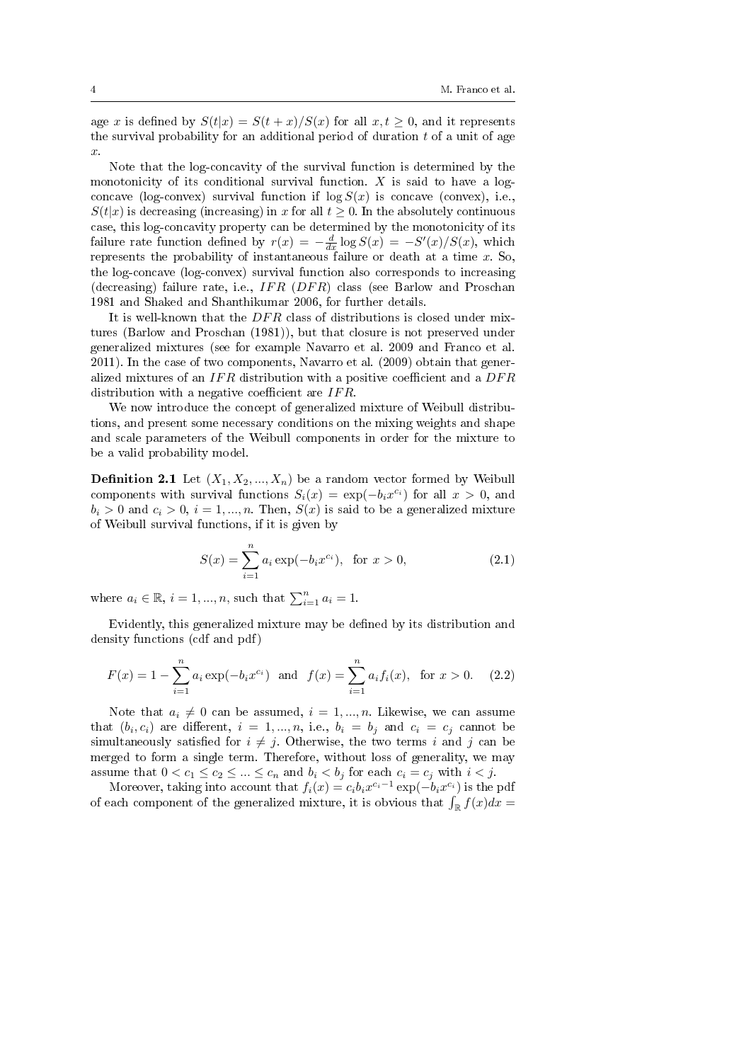age x is defined by  $S(t|x) = S(t+x)/S(x)$  for all  $x, t \ge 0$ , and it represents the survival probability for an additional period of duration  $t$  of a unit of age x.

Note that the log-concavity of the survival function is determined by the monotonicity of its conditional survival function.  $X$  is said to have a logconcave (log-convex) survival function if  $\log S(x)$  is concave (convex), i.e.,  $S(t|x)$  is decreasing (increasing) in x for all  $t > 0$ . In the absolutely continuous case, this log-concavity property can be determined by the monotonicity of its failure rate function defined by  $r(x) = -\frac{d}{dx} \log S(x) = -S'(x)/S(x)$ , which represents the probability of instantaneous failure or death at a time  $x$ . So, the log-concave (log-convex) survival function also corresponds to increasing (decreasing) failure rate, i.e.,  $IFR$  ( $DFR$ ) class (see Barlow and Proschan 1981 and Shaked and Shanthikumar 2006, for further details.

It is well-known that the  $DFR$  class of distributions is closed under mixtures (Barlow and Proschan (1981)), but that closure is not preserved under generalized mixtures (see for example Navarro et al. 2009 and Franco et al. 2011). In the case of two components, Navarro et al. (2009) obtain that generalized mixtures of an  $IFR$  distribution with a positive coefficient and a  $DFR$ distribution with a negative coefficient are  $IFR$ .

We now introduce the concept of generalized mixture of Weibull distributions, and present some necessary conditions on the mixing weights and shape and scale parameters of the Weibull components in order for the mixture to be a valid probability model.

**Definition 2.1** Let  $(X_1, X_2, ..., X_n)$  be a random vector formed by Weibull components with survival functions  $S_i(x) = \exp(-b_i x^{c_i})$  for all  $x > 0$ , and  $b_i > 0$  and  $c_i > 0$ ,  $i = 1, ..., n$ . Then,  $S(x)$  is said to be a generalized mixture of Weibull survival functions, if it is given by

$$
S(x) = \sum_{i=1}^{n} a_i \exp(-b_i x^{c_i}), \text{ for } x > 0,
$$
 (2.1)

where  $a_i \in \mathbb{R}$ ,  $i = 1, ..., n$ , such that  $\sum_{i=1}^{n} a_i = 1$ .

Evidently, this generalized mixture may be defined by its distribution and density functions (cdf and pdf)

$$
F(x) = 1 - \sum_{i=1}^{n} a_i \exp(-b_i x^{c_i}) \text{ and } f(x) = \sum_{i=1}^{n} a_i f_i(x), \text{ for } x > 0.
$$
 (2.2)

Note that  $a_i \neq 0$  can be assumed,  $i = 1, ..., n$ . Likewise, we can assume that  $(b_i, c_i)$  are different,  $i = 1, ..., n$ , i.e.,  $b_i = b_j$  and  $c_i = c_j$  cannot be simultaneously satisfied for  $i \neq j$ . Otherwise, the two terms i and j can be merged to form a single term. Therefore, without loss of generality, we may assume that  $0 < c_1 \leq c_2 \leq ... \leq c_n$  and  $b_i < b_j$  for each  $c_i = c_j$  with  $i < j$ .

Moreover, taking into account that  $f_i(x) = c_i b_i x^{c_i-1} \exp(-b_i x^{c_i})$  is the pdf of each component of the generalized mixture, it is obvious that  $\int_{\mathbb{R}} f(x) dx =$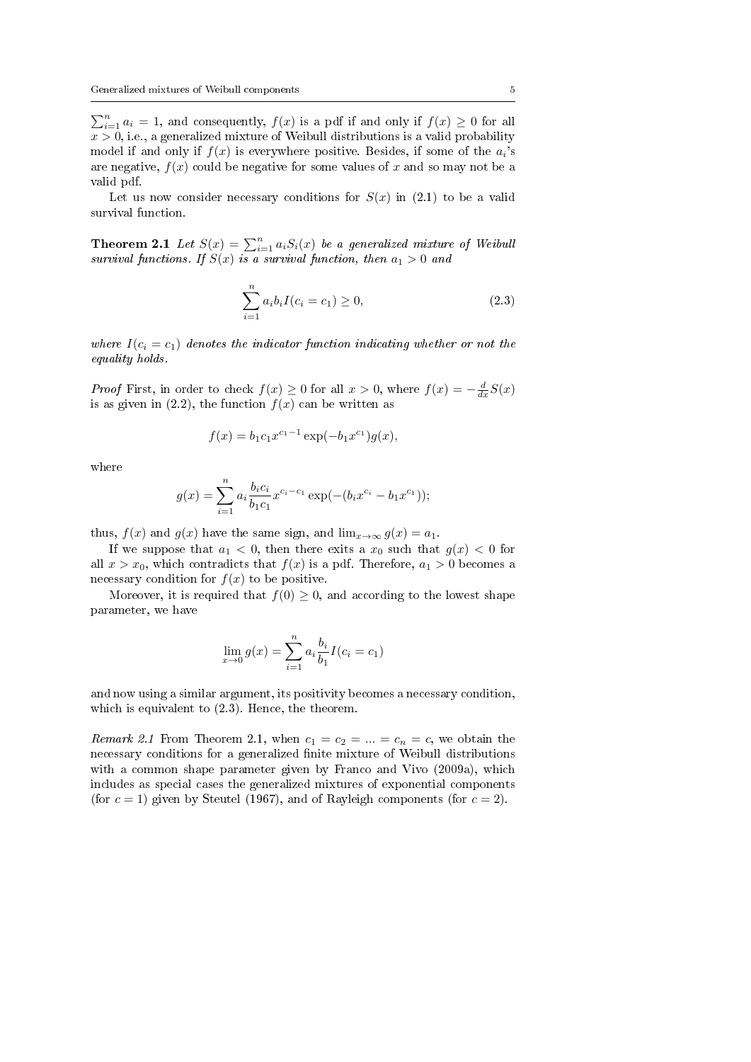$\sum_{i=1}^{n} a_i = 1$ , and consequently,  $f(x)$  is a pdf if and only if  $f(x) \ge 0$  for all  $x > 0$ , i.e., a generalized mixture of Weibull distributions is a valid probability model if and only if  $f(x)$  is everywhere positive. Besides, if some of the  $a_i$ 's are negative,  $f(x)$  could be negative for some values of x and so may not be a valid pdf.

Let us now consider necessary conditions for  $S(x)$  in  $(2.1)$  to be a valid survival function.

**Theorem 2.1** Let  $S(x) = \sum_{i=1}^{n} a_i S_i(x)$  be a generalized mixture of Weibull survival functions. If  $S(x)$  is a survival function, then  $a_1 > 0$  and

$$
\sum_{i=1}^{n} a_i b_i I(c_i = c_1) \ge 0,
$$
\n(2.3)

where  $I(c_i = c_1)$  denotes the indicator function indicating whether or not the equality holds.

*Proof* First, in order to check  $f(x) \ge 0$  for all  $x > 0$ , where  $f(x) = -\frac{d}{dx}S(x)$ is as given in (2.2), the function  $f(x)$  can be written as

$$
f(x) = b_1 c_1 x^{c_1 - 1} \exp(-b_1 x^{c_1}) g(x),
$$

where

$$
g(x) = \sum_{i=1}^{n} a_i \frac{b_i c_i}{b_1 c_1} x^{c_i - c_1} \exp(-(b_i x^{c_i} - b_1 x^{c_1}));
$$

thus,  $f(x)$  and  $g(x)$  have the same sign, and  $\lim_{x\to\infty} g(x) = a_1$ .

If we suppose that  $a_1 < 0$ , then there exits a  $x_0$  such that  $g(x) < 0$  for all  $x > x_0$ , which contradicts that  $f(x)$  is a pdf. Therefore,  $a_1 > 0$  becomes a necessary condition for  $f(x)$  to be positive.

Moreover, it is required that  $f(0) \geq 0$ , and according to the lowest shape parameter, we have

$$
\lim_{x \to 0} g(x) = \sum_{i=1}^{n} a_i \frac{b_i}{b_1} I(c_i = c_1)
$$

and now using a similar argument, its positivity becomes a necessary condition, which is equivalent to (2.3). Hence, the theorem.

Remark 2.1 From Theorem 2.1, when  $c_1 = c_2 = ... = c_n = c$ , we obtain the necessary conditions for a generalized finite mixture of Weibull distributions with a common shape parameter given by Franco and Vivo (2009a), which includes as special cases the generalized mixtures of exponential components (for  $c = 1$ ) given by Steutel (1967), and of Rayleigh components (for  $c = 2$ ).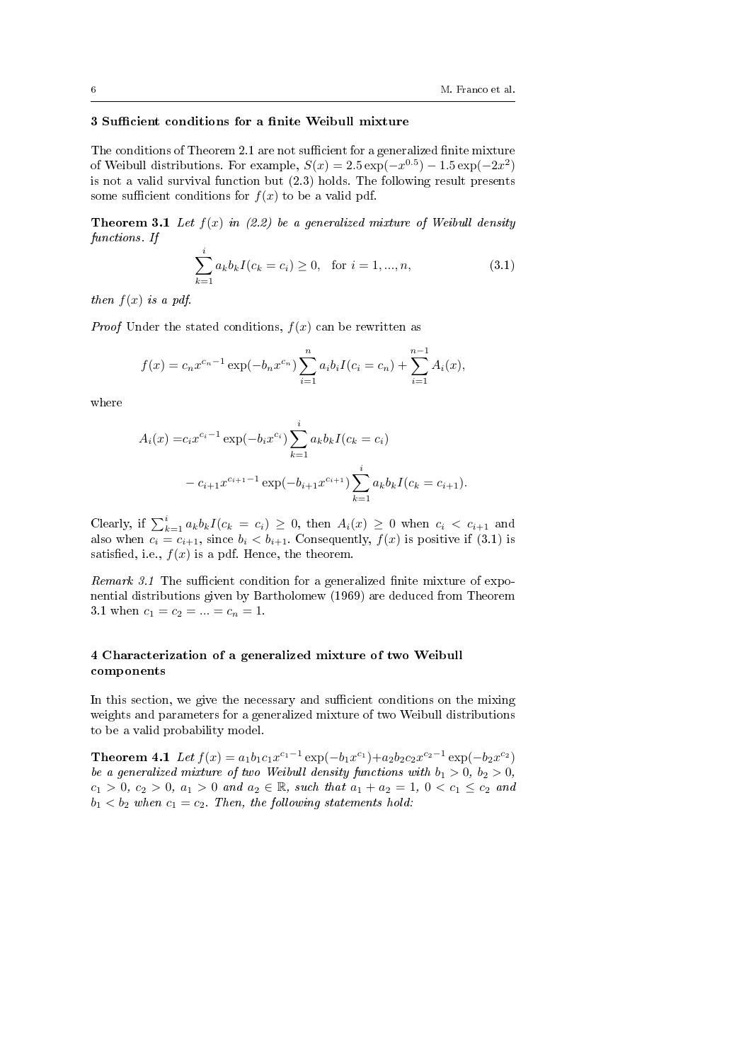## 3 Sufficient conditions for a finite Weibull mixture

The conditions of Theorem 2.1 are not sufficient for a generalized finite mixture of Weibull distributions. For example,  $S(x) = 2.5 \exp(-x^{0.5}) - 1.5 \exp(-2x^2)$ is not a valid survival function but (2.3) holds. The following result presents some sufficient conditions for  $f(x)$  to be a valid pdf.

**Theorem 3.1** Let  $f(x)$  in (2.2) be a generalized mixture of Weibull density functions. If

$$
\sum_{k=1}^{i} a_k b_k I(c_k = c_i) \ge 0, \text{ for } i = 1, ..., n,
$$
\n(3.1)

then  $f(x)$  is a pdf.

*Proof* Under the stated conditions,  $f(x)$  can be rewritten as

$$
f(x) = c_n x^{c_n - 1} \exp(-b_n x^{c_n}) \sum_{i=1}^n a_i b_i I(c_i = c_n) + \sum_{i=1}^{n-1} A_i(x),
$$

where

$$
A_i(x) = c_i x^{c_i - 1} \exp(-b_i x^{c_i}) \sum_{k=1}^i a_k b_k I(c_k = c_i)
$$
  
-  $c_{i+1} x^{c_{i+1} - 1} \exp(-b_{i+1} x^{c_{i+1}}) \sum_{k=1}^i a_k b_k I(c_k = c_{i+1}).$ 

Clearly, if  $\sum_{k=1}^{i} a_k b_k I(c_k = c_i) \geq 0$ , then  $A_i(x) \geq 0$  when  $c_i < c_{i+1}$  and also when  $c_i = c_{i+1}$ , since  $b_i < b_{i+1}$ . Consequently,  $f(x)$  is positive if (3.1) is satisfied, i.e.,  $f(x)$  is a pdf. Hence, the theorem.

Remark 3.1 The sufficient condition for a generalized finite mixture of exponential distributions given by Bartholomew (1969) are deduced from Theorem 3.1 when  $c_1 = c_2 = ... = c_n = 1$ .

## 4 Characterization of a generalized mixture of two Weibull components

In this section, we give the necessary and sufficient conditions on the mixing weights and parameters for a generalized mixture of two Weibull distributions to be a valid probability model.

Theorem 4.1 Let  $f(x) = a_1b_1c_1x^{c_1-1} \exp(-b_1x^{c_1})+a_2b_2c_2x^{c_2-1} \exp(-b_2x^{c_2})$ be a generalized mixture of two Weibull density functions with  $b_1 > 0$ ,  $b_2 > 0$ ,  $c_1 > 0, c_2 > 0, a_1 > 0$  and  $a_2 \in \mathbb{R}$ , such that  $a_1 + a_2 = 1, 0 < c_1 \leq c_2$  and  $b_1 < b_2$  when  $c_1 = c_2$ . Then, the following statements hold: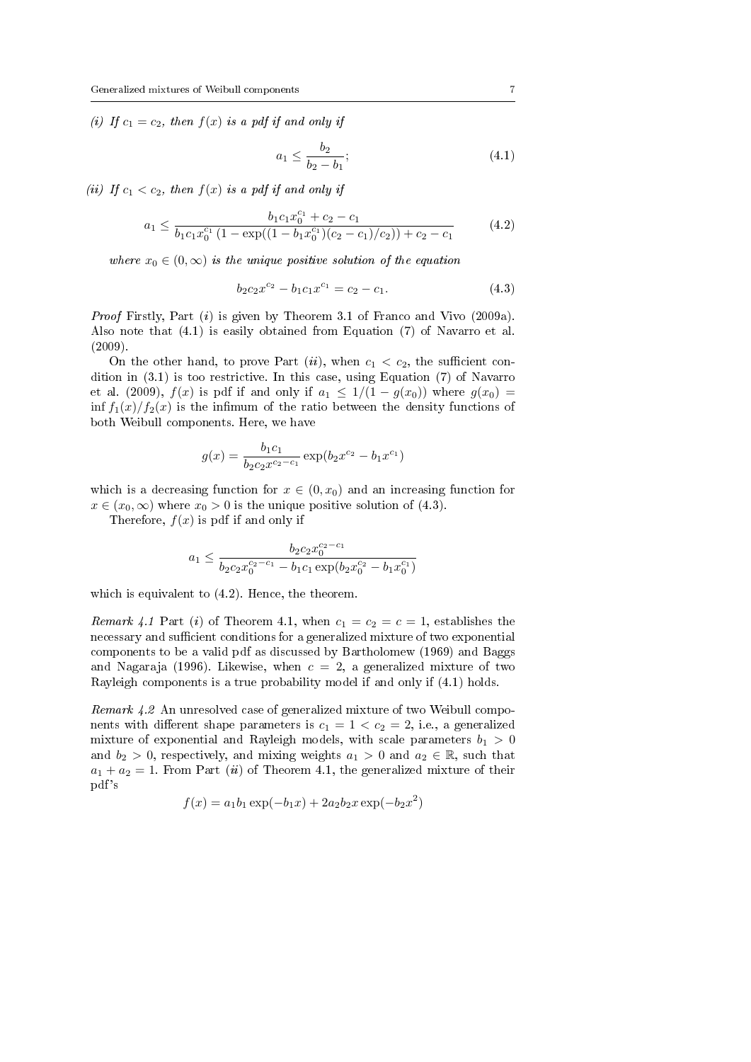(i) If  $c_1 = c_2$ , then  $f(x)$  is a pdf if and only if

$$
a_1 \le \frac{b_2}{b_2 - b_1};\tag{4.1}
$$

(ii) If  $c_1 < c_2$ , then  $f(x)$  is a pdf if and only if

$$
a_1 \leq \frac{b_1 c_1 x_0^{c_1} + c_2 - c_1}{b_1 c_1 x_0^{c_1} (1 - \exp((1 - b_1 x_0^{c_1})(c_2 - c_1)/c_2)) + c_2 - c_1} \tag{4.2}
$$

where  $x_0 \in (0,\infty)$  is the unique positive solution of the equation

$$
b_2 c_2 x^{c_2} - b_1 c_1 x^{c_1} = c_2 - c_1. \tag{4.3}
$$

Proof Firstly, Part (i) is given by Theorem 3.1 of Franco and Vivo (2009a). Also note that (4.1) is easily obtained from Equation (7) of Navarro et al. (2009).

On the other hand, to prove Part  $(ii)$ , when  $c_1 < c_2$ , the sufficient condition in (3.1) is too restrictive. In this case, using Equation (7) of Navarro et al. (2009),  $f(x)$  is pdf if and only if  $a_1 \leq 1/(1 - g(x_0))$  where  $g(x_0)$  = inf  $f_1(x)/f_2(x)$  is the infimum of the ratio between the density functions of both Weibull components. Here, we have

$$
g(x) = \frac{b_1 c_1}{b_2 c_2 x^{c_2 - c_1}} \exp(b_2 x^{c_2} - b_1 x^{c_1})
$$

which is a decreasing function for  $x \in (0, x_0)$  and an increasing function for  $x \in (x_0, \infty)$  where  $x_0 > 0$  is the unique positive solution of (4.3).

Therefore,  $f(x)$  is pdf if and only if

$$
a_1 \leq \frac{b_2c_2x_0^{c_2-c_1}}{b_2c_2x_0^{c_2-c_1} - b_1c_1\exp(b_2x_0^{c_2} - b_1x_0^{c_1})}
$$

which is equivalent to  $(4.2)$ . Hence, the theorem.

Remark 4.1 Part (i) of Theorem 4.1, when  $c_1 = c_2 = c = 1$ , establishes the necessary and sufficient conditions for a generalized mixture of two exponential components to be a valid pdf as discussed by Bartholomew (1969) and Baggs and Nagaraja (1996). Likewise, when  $c = 2$ , a generalized mixture of two Rayleigh components is a true probability model if and only if (4.1) holds.

Remark 4.2 An unresolved case of generalized mixture of two Weibull components with different shape parameters is  $c_1 = 1 < c_2 = 2$ , i.e., a generalized mixture of exponential and Rayleigh models, with scale parameters  $b_1 > 0$ and  $b_2 > 0$ , respectively, and mixing weights  $a_1 > 0$  and  $a_2 \in \mathbb{R}$ , such that  $a_1 + a_2 = 1$ . From Part (ii) of Theorem 4.1, the generalized mixture of their pdf's

$$
f(x) = a_1 b_1 \exp(-b_1 x) + 2a_2 b_2 x \exp(-b_2 x^2)
$$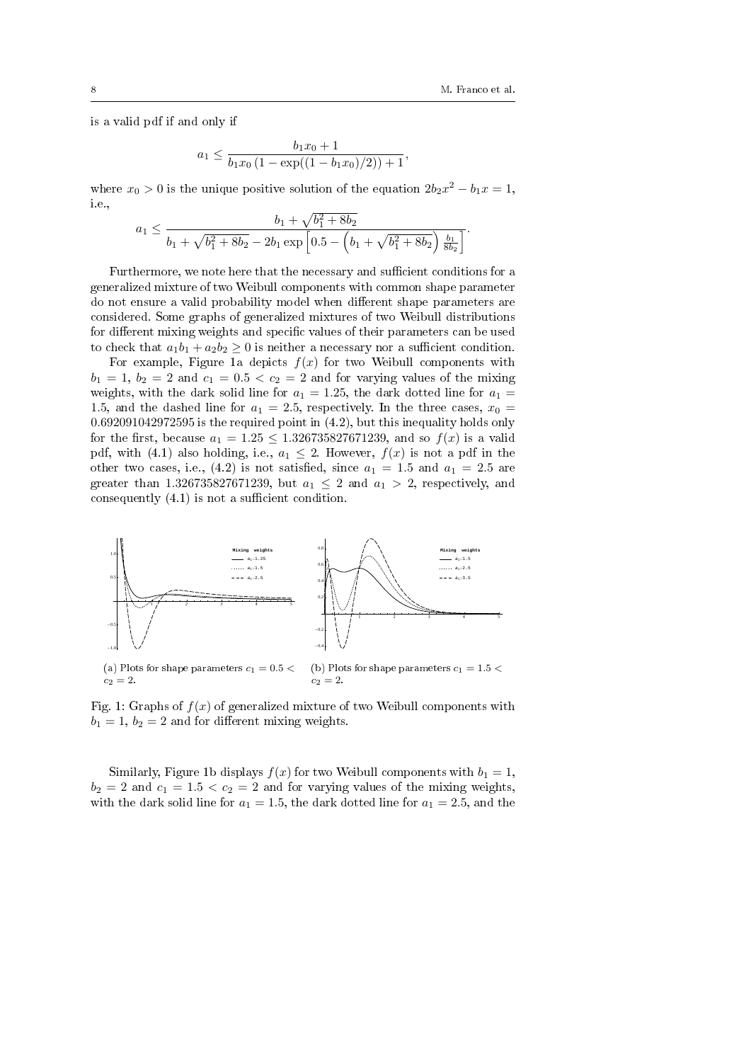is a valid pdf if and only if

$$
a_1 \leq \frac{b_1x_0 + 1}{b_1x_0(1 - \exp((1 - b_1x_0)/2)) + 1},
$$

where  $x_0 > 0$  is the unique positive solution of the equation  $2b_2x^2 - b_1x = 1$ , i.e.,

$$
a_1 \leq \frac{b_1 + \sqrt{b_1^2 + 8b_2}}{b_1 + \sqrt{b_1^2 + 8b_2} - 2b_1 \exp\left[0.5 - \left(b_1 + \sqrt{b_1^2 + 8b_2}\right) \frac{b_1}{8b_2}\right]}.
$$

Furthermore, we note here that the necessary and sufficient conditions for a generalized mixture of two Weibull components with common shape parameter do not ensure a valid probability model when different shape parameters are considered. Some graphs of generalized mixtures of two Weibull distributions for different mixing weights and specific values of their parameters can be used to check that  $a_1b_1 + a_2b_2 \geq 0$  is neither a necessary nor a sufficient condition.

For example, Figure 1a depicts  $f(x)$  for two Weibull components with  $b_1 = 1, b_2 = 2$  and  $c_1 = 0.5 < c_2 = 2$  and for varying values of the mixing weights, with the dark solid line for  $a_1 = 1.25$ , the dark dotted line for  $a_1 =$ 1.5, and the dashed line for  $a_1 = 2.5$ , respectively. In the three cases,  $x_0 =$ 0.692091042972595 is the required point in (4.2), but this inequality holds only for the first, because  $a_1 = 1.25 \le 1.326735827671239$ , and so  $f(x)$  is a valid pdf, with (4.1) also holding, i.e.,  $a_1 \leq 2$ . However,  $f(x)$  is not a pdf in the other two cases, i.e., (4.2) is not satisfied, since  $a_1 = 1.5$  and  $a_1 = 2.5$  are greater than 1.326735827671239, but  $a_1 \leq 2$  and  $a_1 > 2$ , respectively, and consequently  $(4.1)$  is not a sufficient condition.



Fig. 1: Graphs of  $f(x)$  of generalized mixture of two Weibull components with  $b_1 = 1, b_2 = 2$  and for different mixing weights.

Similarly, Figure 1b displays  $f(x)$  for two Weibull components with  $b_1 = 1$ ,  $b_2 = 2$  and  $c_1 = 1.5 < c_2 = 2$  and for varying values of the mixing weights, with the dark solid line for  $a_1 = 1.5$ , the dark dotted line for  $a_1 = 2.5$ , and the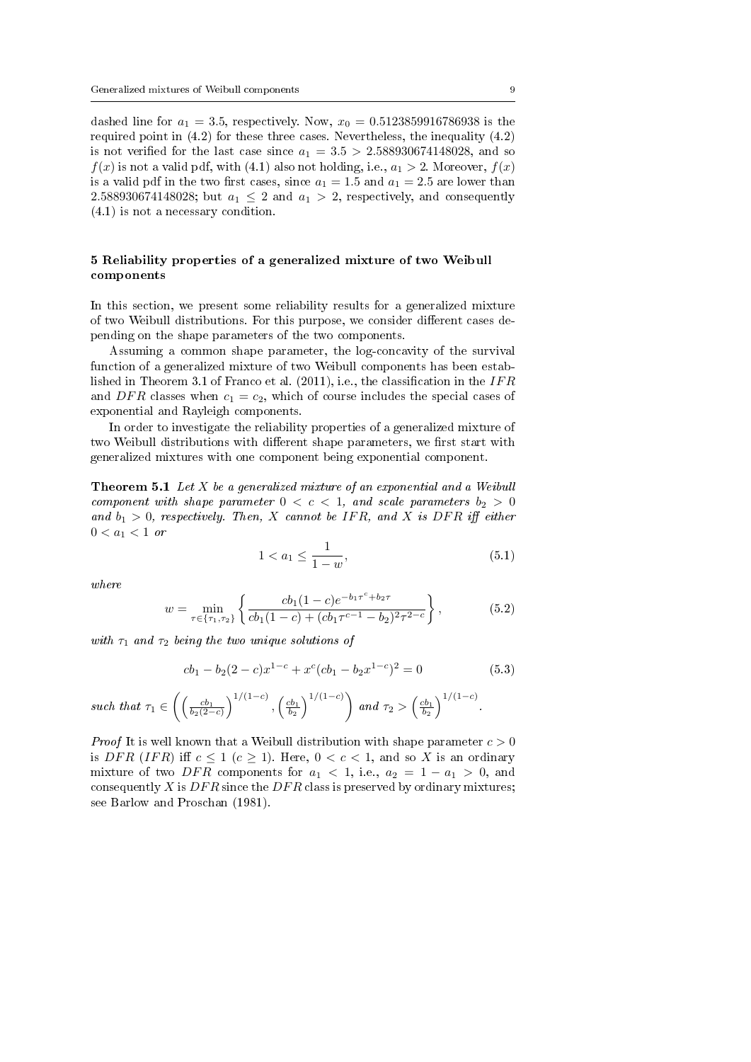dashed line for  $a_1 = 3.5$ , respectively. Now,  $x_0 = 0.5123859916786938$  is the required point in (4.2) for these three cases. Nevertheless, the inequality (4.2) is not verified for the last case since  $a_1 = 3.5 > 2.588930674148028$ , and so  $f(x)$  is not a valid pdf, with (4.1) also not holding, i.e.,  $a_1 > 2$ . Moreover,  $f(x)$ is a valid pdf in the two first cases, since  $a_1 = 1.5$  and  $a_1 = 2.5$  are lower than 2.588930674148028; but  $a_1 \leq 2$  and  $a_1 > 2$ , respectively, and consequently (4.1) is not a necessary condition.

## 5 Reliability properties of a generalized mixture of two Weibull components

In this section, we present some reliability results for a generalized mixture of two Weibull distributions. For this purpose, we consider different cases depending on the shape parameters of the two components.

Assuming a common shape parameter, the log-concavity of the survival function of a generalized mixture of two Weibull components has been established in Theorem 3.1 of Franco et al.  $(2011)$ , i.e., the classification in the IFR and DFR classes when  $c_1 = c_2$ , which of course includes the special cases of exponential and Rayleigh components.

In order to investigate the reliability properties of a generalized mixture of two Weibull distributions with different shape parameters, we first start with generalized mixtures with one component being exponential component.

**Theorem 5.1** Let  $X$  be a generalized mixture of an exponential and a Weibull component with shape parameter  $0 < c < 1$ , and scale parameters  $b_2 > 0$ and  $b_1 > 0$ , respectively. Then, X cannot be IFR, and X is DFR iff either  $0 < a_1 < 1$  or

$$
1 < a_1 \le \frac{1}{1 - w},\tag{5.1}
$$

where

$$
w = \min_{\tau \in \{\tau_1, \tau_2\}} \left\{ \frac{cb_1(1-c)e^{-b_1\tau^c + b_2\tau}}{cb_1(1-c) + (cb_1\tau^{c-1} - b_2)^2 \tau^{2-c}} \right\},
$$
(5.2)

with  $\tau_1$  and  $\tau_2$  being the two unique solutions of

$$
cb_1 - b_2(2 - c)x^{1-c} + x^c (cb_1 - b_2 x^{1-c})^2 = 0
$$
\n(5.3)

such that 
$$
\tau_1 \in \left( \left( \frac{cb_1}{b_2(2-c)} \right)^{1/(1-c)}, \left( \frac{cb_1}{b_2} \right)^{1/(1-c)} \right)
$$
 and  $\tau_2 > \left( \frac{cb_1}{b_2} \right)^{1/(1-c)}$ .

*Proof* It is well known that a Weibull distribution with shape parameter  $c > 0$ is DFR (IFR) iff  $c \le 1$  ( $c \ge 1$ ). Here,  $0 < c < 1$ , and so X is an ordinary mixture of two DFR components for  $a_1 < 1$ , i.e.,  $a_2 = 1 - a_1 > 0$ , and consequently X is  $DFR$  since the  $DFR$  class is preserved by ordinary mixtures; see Barlow and Proschan (1981).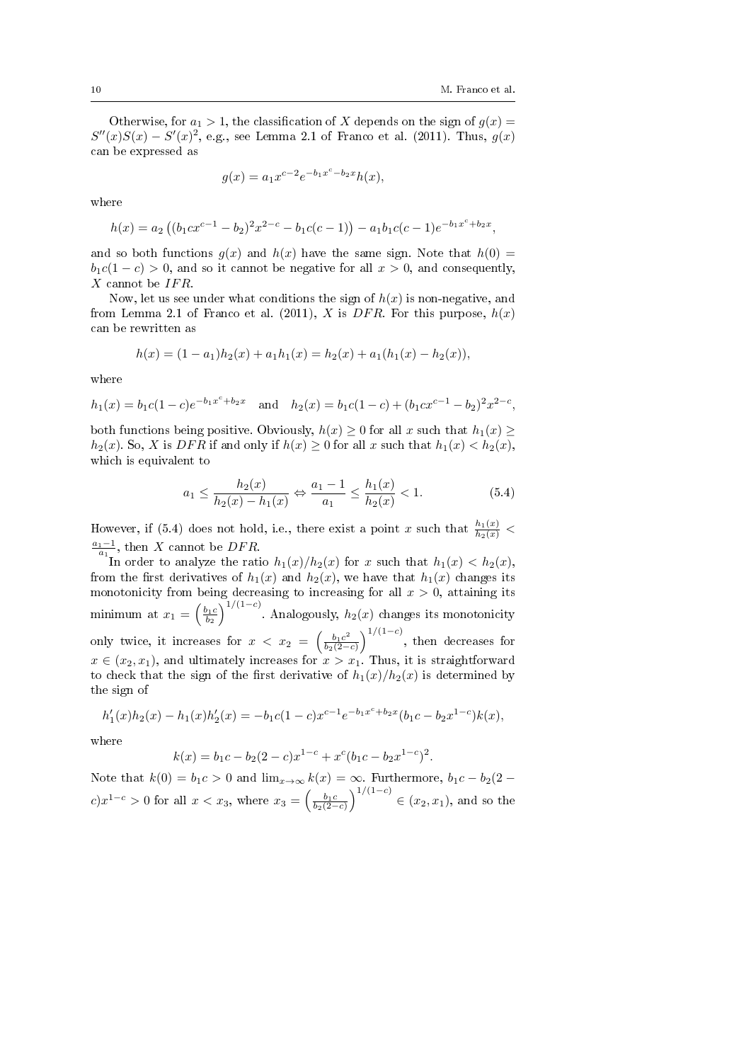Otherwise, for  $a_1 > 1$ , the classification of X depends on the sign of  $g(x) =$  $S''(x)S(x) - S'(x)^2$ , e.g., see Lemma 2.1 of Franco et al. (2011). Thus,  $g(x)$ can be expressed as

$$
g(x) = a_1 x^{c-2} e^{-b_1 x^c - b_2 x} h(x),
$$

where

$$
h(x) = a_2 ((b_1 c x^{c-1} - b_2)^2 x^{2-c} - b_1 c(c-1)) - a_1 b_1 c(c-1) e^{-b_1 x^c + b_2 x},
$$

and so both functions  $g(x)$  and  $h(x)$  have the same sign. Note that  $h(0)$  =  $b_1c(1-c) > 0$ , and so it cannot be negative for all  $x > 0$ , and consequently,  $X$  cannot be  $IFR$ .

Now, let us see under what conditions the sign of  $h(x)$  is non-negative, and from Lemma 2.1 of Franco et al. (2011), X is DFR. For this purpose,  $h(x)$ can be rewritten as

$$
h(x) = (1 - a_1)h_2(x) + a_1h_1(x) = h_2(x) + a_1(h_1(x) - h_2(x)),
$$

where

$$
h_1(x) = b_1c(1-c)e^{-b_1x^c+b_2x}
$$
 and  $h_2(x) = b_1c(1-c) + (b_1cx^{c-1}-b_2)^2x^{2-c}$ ,

both functions being positive. Obviously,  $h(x) \geq 0$  for all x such that  $h_1(x) \geq$  $h_2(x)$ . So, X is DFR if and only if  $h(x) \geq 0$  for all x such that  $h_1(x) < h_2(x)$ , which is equivalent to

$$
a_1 \le \frac{h_2(x)}{h_2(x) - h_1(x)} \Leftrightarrow \frac{a_1 - 1}{a_1} \le \frac{h_1(x)}{h_2(x)} < 1. \tag{5.4}
$$

However, if (5.4) does not hold, i.e., there exist a point x such that  $\frac{h_1(x)}{h_2(x)}$  <  $\frac{a_1-1}{a_1}$ , then X cannot be DFR.

In order to analyze the ratio  $h_1(x)/h_2(x)$  for x such that  $h_1(x) < h_2(x)$ , from the first derivatives of  $h_1(x)$  and  $h_2(x)$ , we have that  $h_1(x)$  changes its monotonicity from being decreasing to increasing for all  $x > 0$ , attaining its minimum at  $x_1 = \left(\frac{b_1 c}{b_2}\right)^{1/(1-c)}$ . Analogously,  $h_2(x)$  changes its monotonicity only twice, it increases for  $x < x_2 = \left(\frac{b_1 c^2}{b_2 (2 - 1)}\right)$  $\frac{b_1c^2}{b_2(2-c)}\Big)^{1/(1-c)}$ , then decreases for  $x \in (x_2, x_1)$ , and ultimately increases for  $x > x_1$ . Thus, it is straightforward to check that the sign of the first derivative of  $h_1(x)/h_2(x)$  is determined by the sign of

$$
h'_1(x)h_2(x) - h_1(x)h'_2(x) = -b_1c(1-c)x^{c-1}e^{-b_1x^c + b_2x}(b_1c - b_2x^{1-c})k(x),
$$

where

$$
k(x) = b_1c - b_2(2 - c)x^{1-c} + x^c(b_1c - b_2x^{1-c})^2.
$$

Note that  $k(0) = b_1 c > 0$  and  $\lim_{x\to\infty} k(x) = \infty$ . Furthermore,  $b_1 c - b_2(2$  $c) x^{1-c} > 0$  for all  $x < x_3$ , where  $x_3 = \left(\frac{b_1 c}{b_2(2-c)}\right)^{1/(1-c)} \in (x_2, x_1)$ , and so the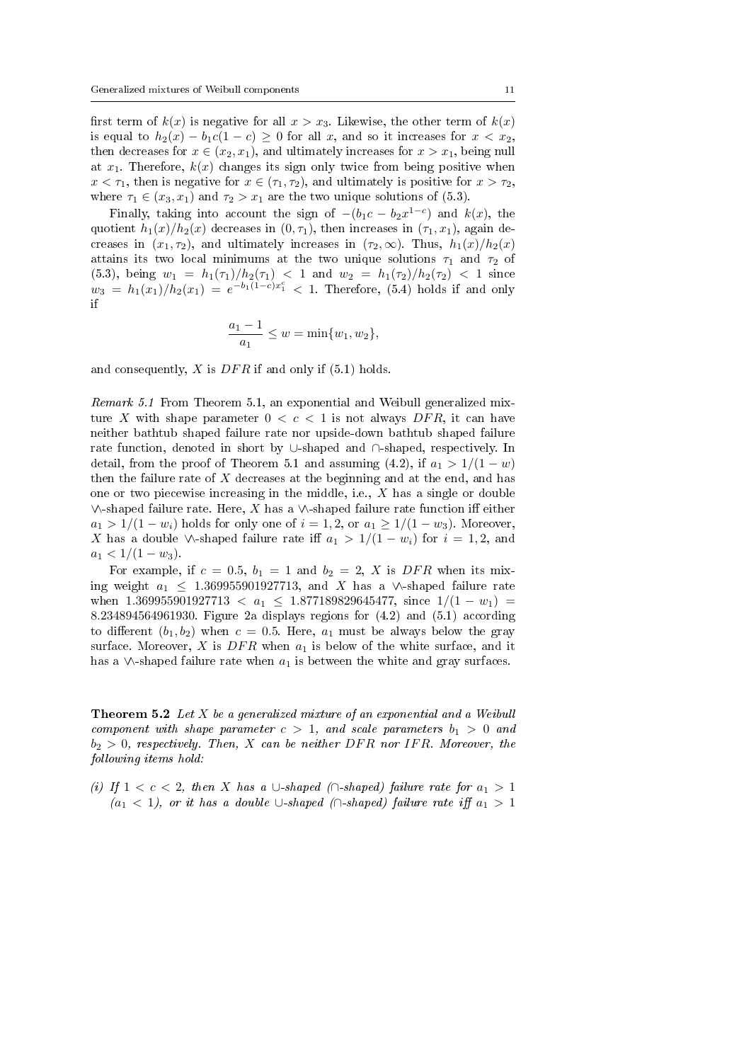first term of  $k(x)$  is negative for all  $x > x_3$ . Likewise, the other term of  $k(x)$ is equal to  $h_2(x) - b_1c(1-c) \geq 0$  for all x, and so it increases for  $x < x_2$ , then decreases for  $x \in (x_2, x_1)$ , and ultimately increases for  $x > x_1$ , being null at  $x_1$ . Therefore,  $k(x)$  changes its sign only twice from being positive when  $x < \tau_1$ , then is negative for  $x \in (\tau_1, \tau_2)$ , and ultimately is positive for  $x > \tau_2$ , where  $\tau_1 \in (x_3, x_1)$  and  $\tau_2 > x_1$  are the two unique solutions of (5.3).

Finally, taking into account the sign of  $-(b_1c - b_2x^{1-c})$  and  $k(x)$ , the quotient  $h_1(x)/h_2(x)$  decreases in  $(0, \tau_1)$ , then increases in  $(\tau_1, x_1)$ , again decreases in  $(x_1, \tau_2)$ , and ultimately increases in  $(\tau_2, \infty)$ . Thus,  $h_1(x)/h_2(x)$ attains its two local minimums at the two unique solutions  $\tau_1$  and  $\tau_2$  of (5.3), being  $w_1 = h_1(\tau_1)/h_2(\tau_1) < 1$  and  $w_2 = h_1(\tau_2)/h_2(\tau_2) < 1$  since  $w_3 = h_1(x_1)/h_2(x_1) = e^{-b_1(1-c)x_1^c} < 1.$  Therefore,  $(5.4)$  holds if and only if

$$
\frac{a_1 - 1}{a_1} \le w = \min\{w_1, w_2\},\
$$

and consequently,  $X$  is  $DFR$  if and only if (5.1) holds.

Remark 5.1 From Theorem 5.1, an exponential and Weibull generalized mixture X with shape parameter  $0 < c < 1$  is not always DFR, it can have neither bathtub shaped failure rate nor upside-down bathtub shaped failure rate function, denoted in short by ∪-shaped and ∩-shaped, respectively. In detail, from the proof of Theorem 5.1 and assuming (4.2), if  $a_1 > 1/(1-w)$ then the failure rate of  $X$  decreases at the beginning and at the end, and has one or two piecewise increasing in the middle, i.e.,  $X$  has a single or double  $\vee$ -shaped failure rate. Here, X has a  $\vee$ -shaped failure rate function iff either  $a_1 > 1/(1-w_i)$  holds for only one of  $i = 1, 2$ , or  $a_1 \geq 1/(1-w_3)$ . Moreover, X has a double  $\vee$ -shaped failure rate iff  $a_1 > 1/(1-w_i)$  for  $i = 1, 2$ , and  $a_1 < 1/(1-w_3)$ .

For example, if  $c = 0.5$ ,  $b_1 = 1$  and  $b_2 = 2$ , X is DFR when its mixing weight  $a_1 \leq 1.369955901927713$ , and X has a ∨∧-shaped failure rate when 1.369955901927713 <  $a_1 \leq 1.877189829645477$ , since  $1/(1 - w_1)$  = 8.234894564961930. Figure 2a displays regions for (4.2) and (5.1) according to different  $(b_1, b_2)$  when  $c = 0.5$ . Here,  $a_1$  must be always below the gray surface. Moreover, X is  $DFR$  when  $a_1$  is below of the white surface, and it has a ∨-shaped failure rate when  $a_1$  is between the white and gray surfaces.

**Theorem 5.2** Let X be a generalized mixture of an exponential and a Weibull component with shape parameter  $c > 1$ , and scale parameters  $b_1 > 0$  and  $b_2 > 0$ , respectively. Then, X can be neither DFR nor IFR. Moreover, the following items hold:

(i) If  $1 < c < 2$ , then X has a ∪-shaped (∩-shaped) failure rate for  $a_1 > 1$  $(a_1 < 1)$ , or it has a double ∪-shaped (∩-shaped) failure rate iff  $a_1 > 1$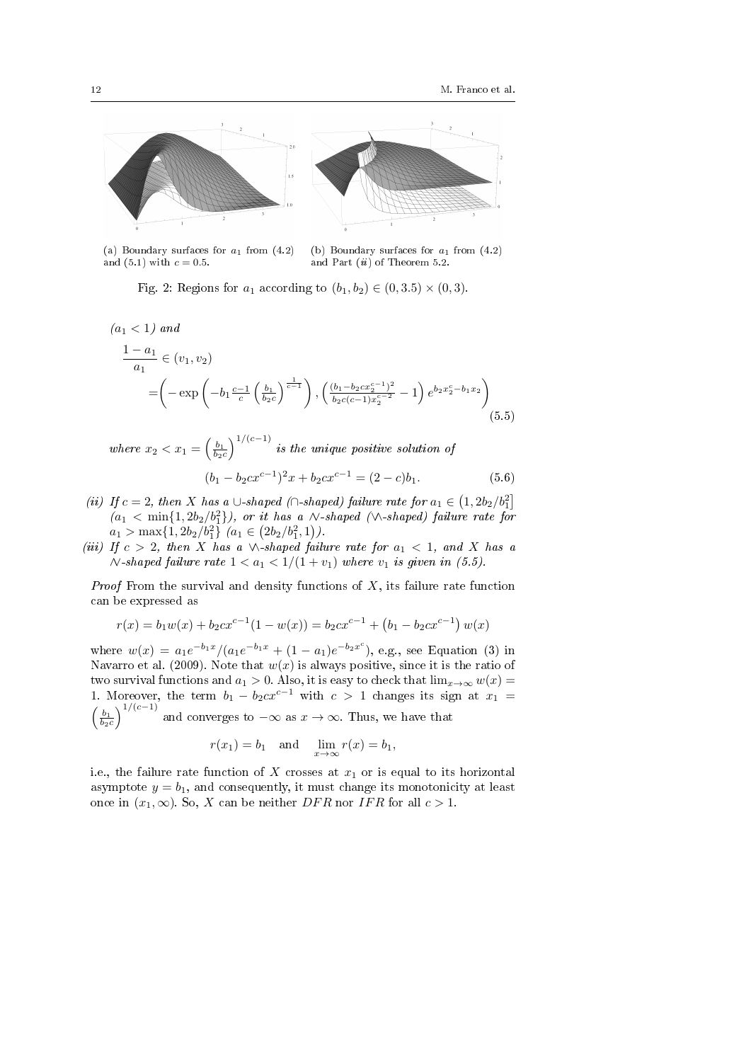

(a) Boundary surfaces for  $a_1$  from  $(4.2)$ and (5.1) with  $c = 0.5$ .

(b) Boundary surfaces for  $a_1$  from  $(4.2)$ and Part *(ii)* of Theorem 5.2.

Fig. 2: Regions for  $a_1$  according to  $(b_1, b_2) \in (0, 3.5) \times (0, 3)$ .

$$
(a_1 < 1) \text{ and}
$$
\n
$$
\frac{1 - a_1}{a_1} \in (v_1, v_2)
$$
\n
$$
= \left( -\exp\left( -b_1 \frac{c-1}{c} \left( \frac{b_1}{b_2 c} \right)^{\frac{1}{c-1}} \right), \left( \frac{(b_1 - b_2 c x_2^{c-1})^2}{b_2 c (c-1) x_2^{c-2}} - 1 \right) e^{b_2 x_2^c - b_1 x_2} \right)
$$
\n(5.5)

where  $x_2 < x_1 = \left(\frac{b_1}{b_2c}\right)^{1/(c-1)}$  is the unique positive solution of  $(b_1 - b_2 c x^{c-1})^2 x + b_2 c x^{c-1} = (2 - c) b_1.$  (5.6)

- (ii) If  $c = 2$ , then X has a ∪-shaped (∩-shaped) failure rate for  $a_1 \in (1, 2b_2/b_1^2]$  $(a_1 < \min\{1, 2b_2/b_1^2\})$ , or it has a  $\mathcal N$ -shaped ( $\mathcal N$ -shaped) failure rate for  $a_1 > \max\{1, 2b_2/b_1^2\} \ (a_1 \in (2b_2/b_1^2, 1)).$
- (iii) If  $c > 2$ , then X has a  $\wedge$ -shaped failure rate for  $a_1 < 1$ , and X has a  $\land$ -shaped failure rate 1 < a<sub>1</sub> < 1/(1 + v<sub>1</sub>) where v<sub>1</sub> is given in (5.5).

*Proof* From the survival and density functions of  $X$ , its failure rate function can be expressed as

$$
r(x) = b_1 w(x) + b_2 c x^{c-1} (1 - w(x)) = b_2 c x^{c-1} + (b_1 - b_2 c x^{c-1}) w(x)
$$

where  $w(x) = a_1 e^{-b_1 x} / (a_1 e^{-b_1 x} + (1 - a_1) e^{-b_2 x^c})$ , e.g., see Equation (3) in Navarro et al. (2009). Note that  $w(x)$  is always positive, since it is the ratio of two survival functions and  $a_1 > 0$ . Also, it is easy to check that  $\lim_{x\to\infty} w(x) =$ 1. Moreover, the term  $b_1 - b_2 c x^{c-1}$  with  $c > 1$  changes its sign at  $x_1 =$  $\left(\frac{b_1}{b_2c}\right)$  $\int_{1}^{1/(c-1)}$  and converges to  $-\infty$  as  $x \to \infty$ . Thus, we have that

$$
r(x_1) = b_1
$$
 and  $\lim_{x \to \infty} r(x) = b_1$ ,

i.e., the failure rate function of  $X$  crosses at  $x_1$  or is equal to its horizontal asymptote  $y = b_1$ , and consequently, it must change its monotonicity at least once in  $(x_1, \infty)$ . So, X can be neither DFR nor IFR for all  $c > 1$ .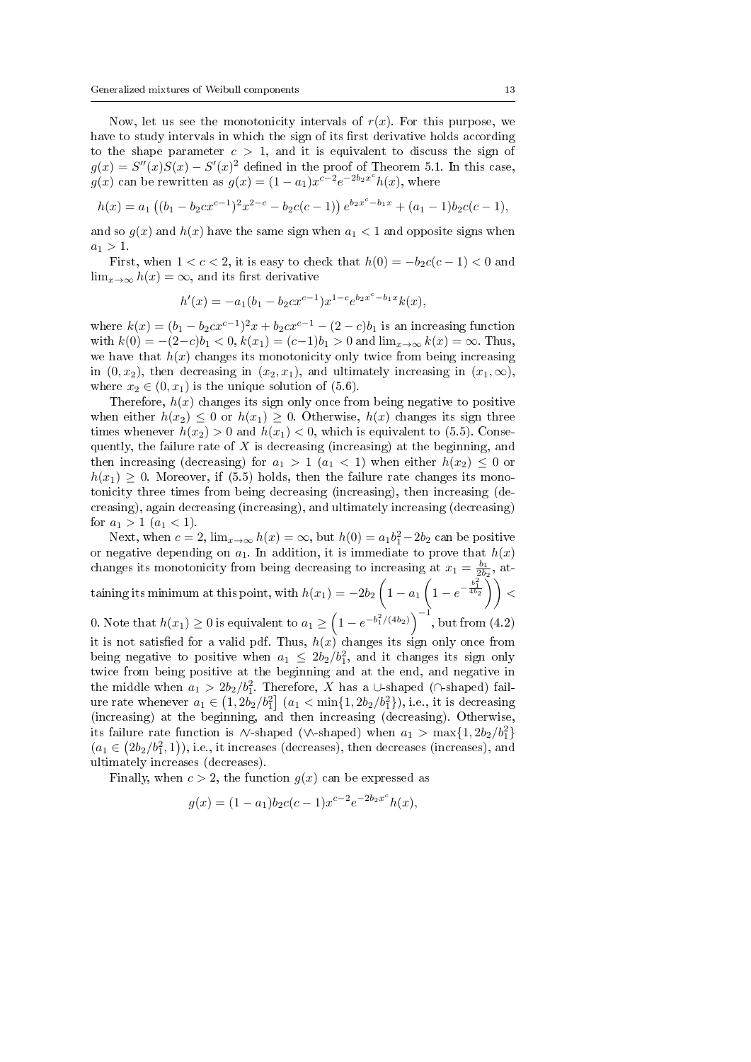Now, let us see the monotonicity intervals of  $r(x)$ . For this purpose, we have to study intervals in which the sign of its first derivative holds according to the shape parameter  $c > 1$ , and it is equivalent to discuss the sign of  $g(x) = S''(x)S(x) - S'(x)^2$  defined in the proof of Theorem 5.1. In this case,  $g(x)$  can be rewritten as  $g(x) = (1 - a_1)x^{c-2}e^{-2b_2x^c}h(x)$ , where

$$
h(x) = a_1 ((b_1 - b_2 c x^{c-1})^2 x^{2-c} - b_2 c (c-1)) e^{b_2 x^c - b_1 x} + (a_1 - 1) b_2 c (c-1),
$$

and so  $g(x)$  and  $h(x)$  have the same sign when  $a_1 < 1$  and opposite signs when  $a_1 > 1.$ 

First, when  $1 < c < 2$ , it is easy to check that  $h(0) = -b_2c(c-1) < 0$  and  $\lim_{x\to\infty} h(x) = \infty$ , and its first derivative

$$
h'(x) = -a_1(b_1 - b_2cx^{c-1})x^{1-c}e^{b_2x^c - b_1x}k(x),
$$

where  $k(x) = (b_1 - b_2 c x^{c-1})^2 x + b_2 c x^{c-1} - (2 - c) b_1$  is an increasing function with  $k(0) = -(2-c)b_1 < 0, k(x_1) = (c-1)b_1 > 0$  and  $\lim_{x\to\infty} k(x) = \infty$ . Thus, we have that  $h(x)$  changes its monotonicity only twice from being increasing in  $(0, x_2)$ , then decreasing in  $(x_2, x_1)$ , and ultimately increasing in  $(x_1, \infty)$ , where  $x_2 \in (0, x_1)$  is the unique solution of (5.6).

Therefore,  $h(x)$  changes its sign only once from being negative to positive when either  $h(x_2) \leq 0$  or  $h(x_1) \geq 0$ . Otherwise,  $h(x)$  changes its sign three times whenever  $h(x_2) > 0$  and  $h(x_1) < 0$ , which is equivalent to (5.5). Consequently, the failure rate of  $X$  is decreasing (increasing) at the beginning, and then increasing (decreasing) for  $a_1 > 1$   $(a_1 < 1)$  when either  $h(x_2) \leq 0$  or  $h(x_1) \geq 0$ . Moreover, if (5.5) holds, then the failure rate changes its monotonicity three times from being decreasing (increasing), then increasing (decreasing), again decreasing (increasing), and ultimately increasing (decreasing) for  $a_1 > 1$   $(a_1 < 1)$ .

Next, when  $c = 2$ ,  $\lim_{x \to \infty} h(x) = \infty$ , but  $h(0) = a_1 b_1^2 - 2b_2$  can be positive or negative depending on  $a_1$ . In addition, it is immediate to prove that  $h(x)$ changes its monotonicity from being decreasing to increasing at  $x_1 = \frac{b_1}{2b_2}$ , attaining its minimum at this point, with  $h(x_1) = -2b_2 \left(1-a_1 \left(1-e^{-\frac{b_1^2}{4b_2}}\right)\right) <$ 0. Note that  $h(x_1) \geq 0$  is equivalent to  $a_1 \geq \left(1 - e^{-b_1^2/(4b_2)}\right)^{-1}$ , but from (4.2) it is not satisfied for a valid pdf. Thus,  $h(x)$  changes its sign only once from

being negative to positive when  $a_1 \leq 2b_2/b_1^2$ , and it changes its sign only twice from being positive at the beginning and at the end, and negative in the middle when  $a_1 > 2b_2/b_1^2$ . Therefore, X has a ∪-shaped (∩-shaped) failure rate whenever  $a_1 \in (1, 2b_2/b_1^2]$   $(a_1 < \min\{1, 2b_2/b_1^2\})$ , i.e., it is decreasing (increasing) at the beginning, and then increasing (decreasing). Otherwise, its failure rate function is  $\wedge$ -shaped ( $\wedge$ -shaped) when  $a_1 > \max\{1, 2b_2/b_1^2\}$  $(a_1 \in (2b_2/b_1^2, 1)),$  i.e., it increases (decreases), then decreases (increases), and ultimately increases (decreases).

Finally, when  $c > 2$ , the function  $g(x)$  can be expressed as

$$
g(x) = (1 - a_1)b_2c(c - 1)x^{c-2}e^{-2b_2x^{c}}h(x),
$$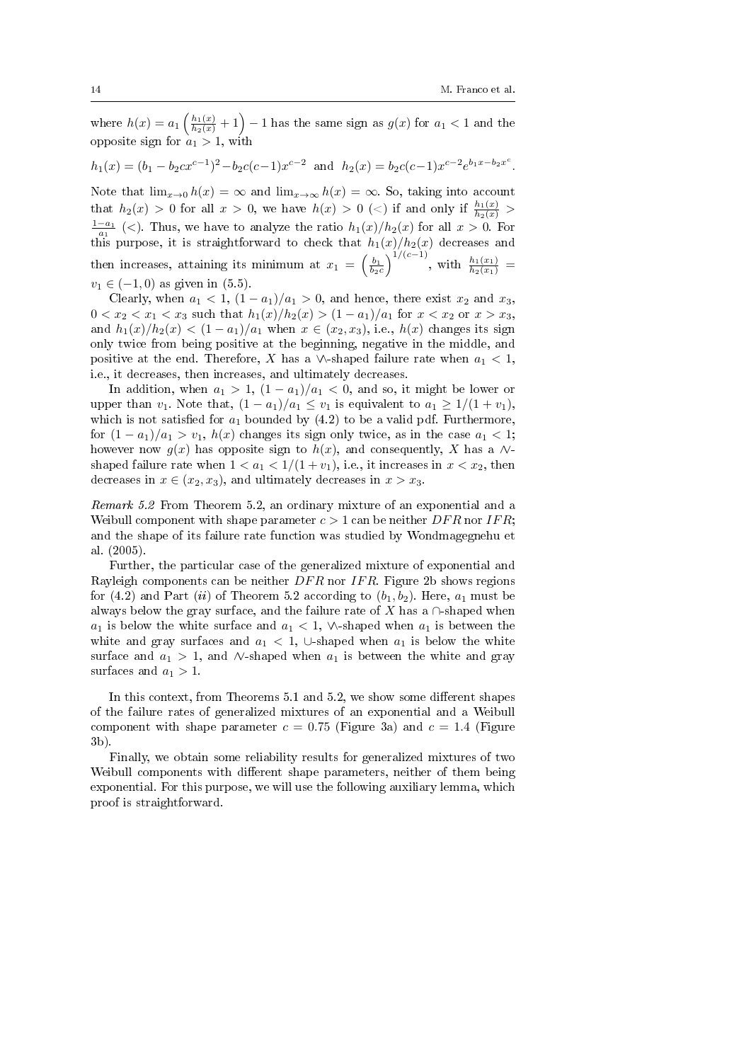where  $h(x) = a_1 \left( \frac{h_1(x)}{h_2(x)} + 1 \right) - 1$  has the same sign as  $g(x)$  for  $a_1 < 1$  and the opposite sign for  $a_1 > 1$ , with

 $h_1(x) = (b_1 - b_2 c x^{c-1})^2 - b_2 c (c-1) x^{c-2}$  and  $h_2(x) = b_2 c (c-1) x^{c-2} e^{b_1 x - b_2 x^c}$ .

Note that  $\lim_{x\to 0} h(x) = \infty$  and  $\lim_{x\to\infty} h(x) = \infty$ . So, taking into account that  $h_2(x) > 0$  for all  $x > 0$ , we have  $h(x) > 0$  (<) if and only if  $\frac{h_1(x)}{h_2(x)} >$  $\frac{1-a_1}{a_1}$  (<). Thus, we have to analyze the ratio  $h_1(x)/h_2(x)$  for all  $x > 0$ . For this purpose, it is straightforward to check that  $h_1(x)/h_2(x)$  decreases and then increases, attaining its minimum at  $x_1 = \left(\frac{b_1}{b_2c}\right)^{1/(c-1)}$ , with  $\frac{h_1(x_1)}{h_2(x_1)}$  =  $v_1 \in (-1, 0)$  as given in (5.5).

Clearly, when  $a_1 < 1$ ,  $(1 - a_1)/a_1 > 0$ , and hence, there exist  $x_2$  and  $x_3$ ,  $0 < x_2 < x_1 < x_3$  such that  $h_1(x)/h_2(x) > (1 - a_1)/a_1$  for  $x < x_2$  or  $x > x_3$ , and  $h_1(x)/h_2(x) < (1-a_1)/a_1$  when  $x \in (x_2, x_3)$ , i.e.,  $h(x)$  changes its sign only twice from being positive at the beginning, negative in the middle, and positive at the end. Therefore, X has a  $\wedge$ -shaped failure rate when  $a_1 < 1$ , i.e., it decreases, then increases, and ultimately decreases.

In addition, when  $a_1 > 1$ ,  $(1 - a_1)/a_1 < 0$ , and so, it might be lower or upper than  $v_1$ . Note that,  $(1 - a_1)/a_1 \le v_1$  is equivalent to  $a_1 \ge 1/(1 + v_1)$ , which is not satisfied for  $a_1$  bounded by (4.2) to be a valid pdf. Furthermore, for  $(1 - a_1)/a_1 > v_1$ ,  $h(x)$  changes its sign only twice, as in the case  $a_1 < 1$ ; however now  $g(x)$  has opposite sign to  $h(x)$ , and consequently, X has a  $\mathcal{N}$ shaped failure rate when  $1 < a_1 < 1/(1 + v_1)$ , i.e., it increases in  $x < x_2$ , then decreases in  $x \in (x_2, x_3)$ , and ultimately decreases in  $x > x_3$ .

Remark 5.2 From Theorem 5.2, an ordinary mixture of an exponential and a Weibull component with shape parameter  $c > 1$  can be neither  $DFR$  nor IFR; and the shape of its failure rate function was studied by Wondmagegnehu et al. (2005).

Further, the particular case of the generalized mixture of exponential and Rayleigh components can be neither  $DFR$  nor IFR. Figure 2b shows regions for (4.2) and Part (ii) of Theorem 5.2 according to  $(b_1, b_2)$ . Here,  $a_1$  must be always below the gray surface, and the failure rate of X has a  $\cap$ -shaped when  $a_1$  is below the white surface and  $a_1 < 1$ ,  $\wedge$ -shaped when  $a_1$  is between the white and gray surfaces and  $a_1 < 1$ , ∪-shaped when  $a_1$  is below the white surface and  $a_1 > 1$ , and  $\wedge$ -shaped when  $a_1$  is between the white and gray surfaces and  $a_1 > 1$ .

In this context, from Theorems 5.1 and 5.2, we show some different shapes of the failure rates of generalized mixtures of an exponential and a Weibull component with shape parameter  $c = 0.75$  (Figure 3a) and  $c = 1.4$  (Figure 3b).

Finally, we obtain some reliability results for generalized mixtures of two Weibull components with different shape parameters, neither of them being exponential. For this purpose, we will use the following auxiliary lemma, which proof is straightforward.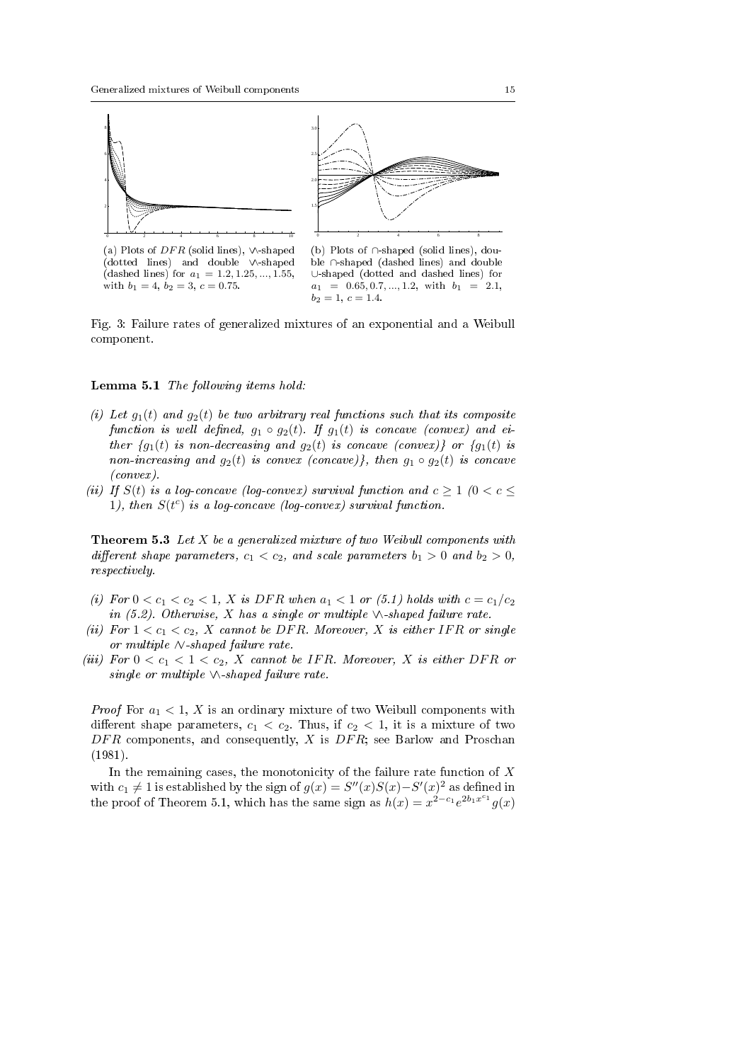

(a) Plots of  $DFR$  (solid lines),  $\vee$ -shaped (dotted lines) and double ∨∧-shaped (dashed lines) for  $a_1 = 1.2, 1.25, ..., 1.55$ , with  $b_1 = 4$ ,  $b_2 = 3$ ,  $c = 0.75$ .



(b) Plots of ∩-shaped (solid lines), double ∩-shaped (dashed lines) and double ∪-shaped (dotted and dashed lines) for  $a_1 = 0.65, 0.7, \ldots, 1.2, \text{ with } b_1 = 2.1,$  $b_2 = 1, c = 1.4.$ 

Fig. 3: Failure rates of generalized mixtures of an exponential and a Weibull component.

### Lemma 5.1 The following items hold:

- (i) Let  $g_1(t)$  and  $g_2(t)$  be two arbitrary real functions such that its composite function is well defined,  $g_1 \circ g_2(t)$ . If  $g_1(t)$  is concave (convex) and either  ${g_1(t)}$  is non-decreasing and  $g_2(t)$  is concave (convex)} or  ${g_1(t)}$  is non-increasing and  $g_2(t)$  is convex (concave)}, then  $g_1 \circ g_2(t)$  is concave (convex).
- (ii) If  $S(t)$  is a log-concave (log-convex) survival function and  $c \geq 1$  ( $0 < c \leq$ 1), then  $S(t^c)$  is a log-concave (log-convex) survival function.

**Theorem 5.3** Let  $X$  be a generalized mixture of two Weibull components with different shape parameters,  $c_1 < c_2$ , and scale parameters  $b_1 > 0$  and  $b_2 > 0$ , respectively.

- (i) For  $0 < c_1 < c_2 < 1$ , X is DFR when  $a_1 < 1$  or (5.1) holds with  $c = c_1/c_2$ in (5.2). Otherwise, X has a single or multiple  $\wedge$ -shaped failure rate.
- (ii) For  $1 < c_1 < c_2$ , X cannot be DFR. Moreover, X is either IFR or single or multiple ∧∨-shaped failure rate.
- (iii) For  $0 < c_1 < 1 < c_2$ , X cannot be IFR. Moreover, X is either DFR or single or multiple  $\land$ -shaped failure rate.

*Proof* For  $a_1 < 1$ , X is an ordinary mixture of two Weibull components with different shape parameters,  $c_1 < c_2$ . Thus, if  $c_2 < 1$ , it is a mixture of two  $DFR$  components, and consequently, X is  $DFR$ ; see Barlow and Proschan (1981).

In the remaining cases, the monotonicity of the failure rate function of  $X$ with  $c_1 \neq 1$  is established by the sign of  $g(x) = S''(x)S(x) - S'(x)^2$  as defined in the proof of Theorem 5.1, which has the same sign as  $h(x) = x^{2-c_1}e^{2b_1x^{c_1}}g(x)$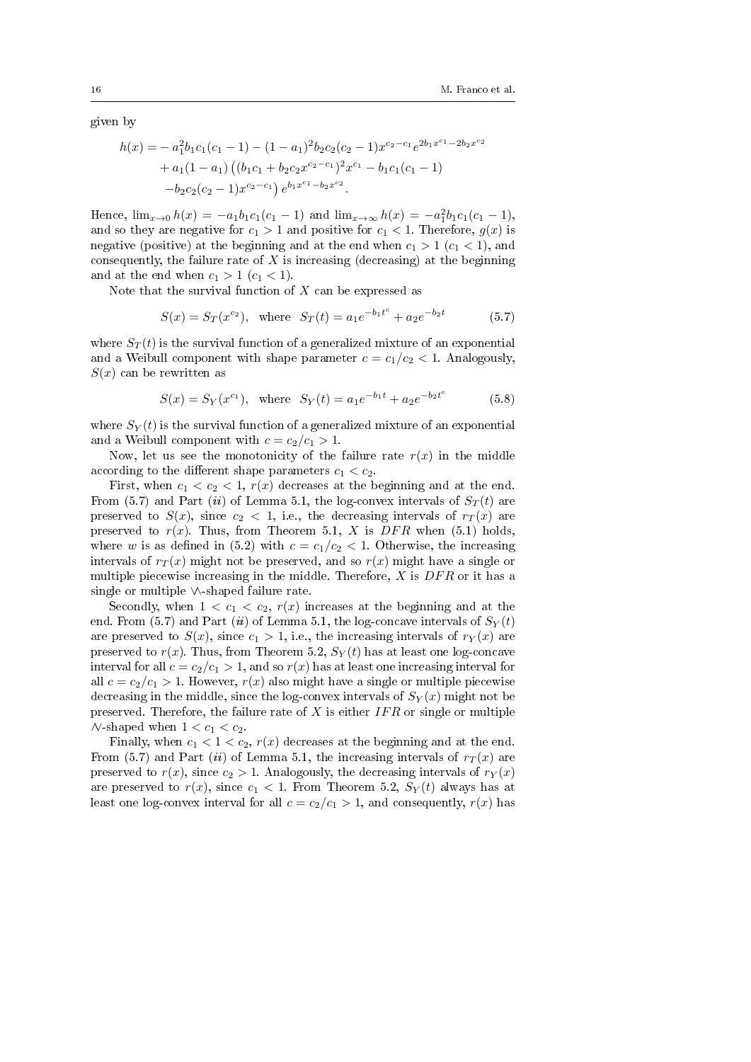given by

$$
h(x) = -a_1^2 b_1 c_1 (c_1 - 1) - (1 - a_1)^2 b_2 c_2 (c_2 - 1) x^{c_2 - c_1} e^{2b_1 x^{c_1} - 2b_2 x^{c_2}} + a_1 (1 - a_1) ((b_1 c_1 + b_2 c_2 x^{c_2 - c_1})^2 x^{c_1} - b_1 c_1 (c_1 - 1) -b_2 c_2 (c_2 - 1) x^{c_2 - c_1} e^{b_1 x^{c_1} - b_2 x^{c_2}}.
$$

Hence,  $\lim_{x\to 0} h(x) = -a_1b_1c_1(c_1 - 1)$  and  $\lim_{x\to \infty} h(x) = -a_1^2b_1c_1(c_1 - 1)$ , and so they are negative for  $c_1 > 1$  and positive for  $c_1 < 1$ . Therefore,  $g(x)$  is negative (positive) at the beginning and at the end when  $c_1 > 1$  ( $c_1 < 1$ ), and consequently, the failure rate of  $X$  is increasing (decreasing) at the beginning and at the end when  $c_1 > 1$   $(c_1 < 1)$ .

Note that the survival function of  $X$  can be expressed as

$$
S(x) = S_T(x^{c_2}), \text{ where } S_T(t) = a_1 e^{-b_1 t^c} + a_2 e^{-b_2 t} \tag{5.7}
$$

where  $S_T(t)$  is the survival function of a generalized mixture of an exponential and a Weibull component with shape parameter  $c = c_1/c_2 < 1$ . Analogously,  $S(x)$  can be rewritten as

$$
S(x) = S_Y(x^{c_1}), \text{ where } S_Y(t) = a_1 e^{-b_1 t} + a_2 e^{-b_2 t^c}
$$
 (5.8)

where  $S_Y(t)$  is the survival function of a generalized mixture of an exponential and a Weibull component with  $c = c_2/c_1 > 1$ .

Now, let us see the monotonicity of the failure rate  $r(x)$  in the middle according to the different shape parameters  $c_1 < c_2$ .

First, when  $c_1 < c_2 < 1$ ,  $r(x)$  decreases at the beginning and at the end. From (5.7) and Part (ii) of Lemma 5.1, the log-convex intervals of  $S_T(t)$  are preserved to  $S(x)$ , since  $c_2 < 1$ , i.e., the decreasing intervals of  $r_T(x)$  are preserved to  $r(x)$ . Thus, from Theorem 5.1, X is DFR when (5.1) holds, where w is as defined in (5.2) with  $c = c_1/c_2 < 1$ . Otherwise, the increasing intervals of  $r_T(x)$  might not be preserved, and so  $r(x)$  might have a single or multiple piecewise increasing in the middle. Therefore,  $X$  is  $DFR$  or it has a single or multiple ∨∧-shaped failure rate.

Secondly, when  $1 < c_1 < c_2$ ,  $r(x)$  increases at the beginning and at the end. From (5.7) and Part (ii) of Lemma 5.1, the log-concave intervals of  $S_Y(t)$ are preserved to  $S(x)$ , since  $c_1 > 1$ , i.e., the increasing intervals of  $r_Y(x)$  are preserved to  $r(x)$ . Thus, from Theorem 5.2,  $S_Y(t)$  has at least one log-concave interval for all  $c = c_2/c_1 > 1$ , and so  $r(x)$  has at least one increasing interval for all  $c = c_2/c_1 > 1$ . However,  $r(x)$  also might have a single or multiple piecewise decreasing in the middle, since the log-convex intervals of  $S_Y(x)$  might not be preserved. Therefore, the failure rate of  $X$  is either  $IFR$  or single or multiple  $\wedge$ -shaped when  $1 < c_1 < c_2$ .

Finally, when  $c_1 < 1 < c_2$ ,  $r(x)$  decreases at the beginning and at the end. From (5.7) and Part (ii) of Lemma 5.1, the increasing intervals of  $r_T(x)$  are preserved to  $r(x)$ , since  $c_2 > 1$ . Analogously, the decreasing intervals of  $r_Y(x)$ are preserved to  $r(x)$ , since  $c_1 < 1$ . From Theorem 5.2,  $S_Y(t)$  always has at least one log-convex interval for all  $c = c_2/c_1 > 1$ , and consequently,  $r(x)$  has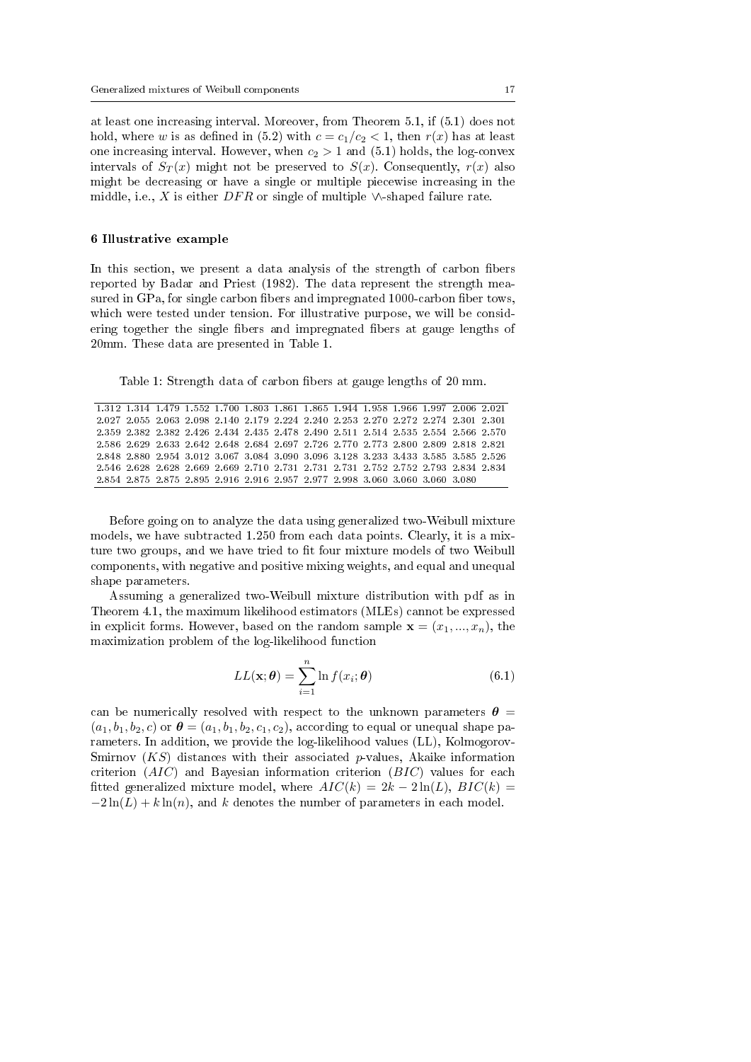at least one increasing interval. Moreover, from Theorem 5.1, if (5.1) does not hold, where w is as defined in (5.2) with  $c = c_1/c_2 < 1$ , then  $r(x)$  has at least one increasing interval. However, when  $c_2 > 1$  and  $(5.1)$  holds, the log-convex intervals of  $S_T(x)$  might not be preserved to  $S(x)$ . Consequently,  $r(x)$  also might be decreasing or have a single or multiple piecewise increasing in the middle, i.e., X is either  $DFR$  or single of multiple  $\vee$ -shaped failure rate.

#### 6 Illustrative example

In this section, we present a data analysis of the strength of carbon fibers reported by Badar and Priest (1982). The data represent the strength measured in GPa, for single carbon fibers and impregnated 1000-carbon fiber tows, which were tested under tension. For illustrative purpose, we will be considering together the single fibers and impregnated fibers at gauge lengths of 20mm. These data are presented in Table 1.

Table 1: Strength data of carbon fibers at gauge lengths of 20 mm.

| 1.312 1.314 1.479 1.552 1.700 1.803 1.861 1.865 1.944 1.958 1.966 1.997 2.006 2.021 |  |  |  |                                                                                     |  |  |  |
|-------------------------------------------------------------------------------------|--|--|--|-------------------------------------------------------------------------------------|--|--|--|
|                                                                                     |  |  |  | 2.027 2.055 2.063 2.098 2.140 2.179 2.224 2.240 2.253 2.270 2.272 2.274 2.301 2.301 |  |  |  |
| 2.359 2.382 2.382 2.426 2.434 2.435 2.478 2.490 2.511 2.514 2.535 2.554 2.566 2.570 |  |  |  |                                                                                     |  |  |  |
|                                                                                     |  |  |  | 2.586 2.629 2.633 2.642 2.648 2.684 2.697 2.726 2.770 2.773 2.800 2.809 2.818 2.821 |  |  |  |
|                                                                                     |  |  |  | 2.848 2.880 2.954 3.012 3.067 3.084 3.090 3.096 3.128 3.233 3.433 3.585 3.585 2.526 |  |  |  |
|                                                                                     |  |  |  | 2.546 2.628 2.628 2.669 2.669 2.710 2.731 2.731 2.731 2.752 2.752 2.793 2.834 2.834 |  |  |  |
| 2.854 2.875 2.875 2.895 2.916 2.916 2.957 2.977 2.998 3.060 3.060 3.060 3.080       |  |  |  |                                                                                     |  |  |  |

Before going on to analyze the data using generalized two-Weibull mixture models, we have subtracted 1.250 from each data points. Clearly, it is a mixture two groups, and we have tried to fit four mixture models of two Weibull components, with negative and positive mixing weights, and equal and unequal shape parameters.

Assuming a generalized two-Weibull mixture distribution with pdf as in Theorem 4.1, the maximum likelihood estimators (MLEs) cannot be expressed in explicit forms. However, based on the random sample  $\mathbf{x} = (x_1, ..., x_n)$ , the maximization problem of the log-likelihood function

$$
LL(\mathbf{x}; \boldsymbol{\theta}) = \sum_{i=1}^{n} \ln f(x_i; \boldsymbol{\theta})
$$
\n(6.1)

can be numerically resolved with respect to the unknown parameters  $\theta =$  $(a_1, b_1, b_2, c)$  or  $\boldsymbol{\theta} = (a_1, b_1, b_2, c_1, c_2)$ , according to equal or unequal shape parameters. In addition, we provide the log-likelihood values (LL), Kolmogorov-Smirnov  $(KS)$  distances with their associated p-values, Akaike information criterion  $(AIC)$  and Bayesian information criterion  $(BIC)$  values for each fitted generalized mixture model, where  $AIC(k) = 2k - 2\ln(L)$ ,  $BIC(k) =$  $-2\ln(L) + k\ln(n)$ , and k denotes the number of parameters in each model.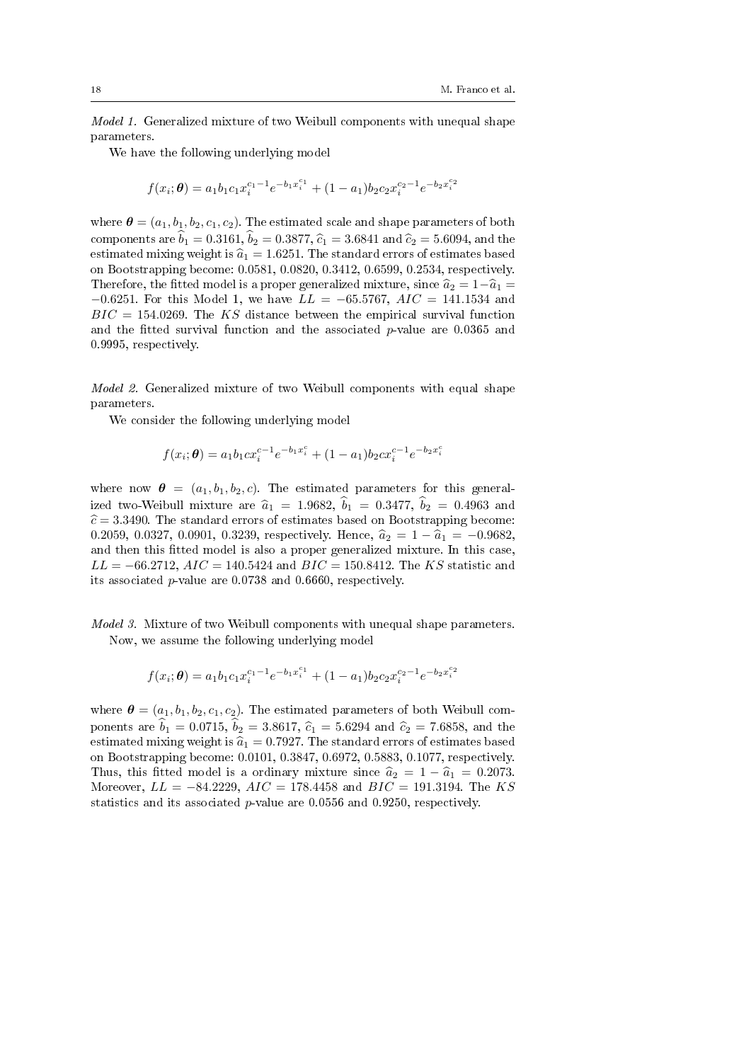Model 1. Generalized mixture of two Weibull components with unequal shape parameters.

We have the following underlying model

$$
f(x_i; \theta) = a_1 b_1 c_1 x_i^{c_1 - 1} e^{-b_1 x_i^{c_1}} + (1 - a_1) b_2 c_2 x_i^{c_2 - 1} e^{-b_2 x_i^{c_2}}
$$

where  $\boldsymbol{\theta} = (a_1, b_1, b_2, c_1, c_2)$ . The estimated scale and shape parameters of both components are  $\hat{b}_1 = 0.3161$ ,  $\hat{b}_2 = 0.3877$ ,  $\hat{c}_1 = 3.6841$  and  $\hat{c}_2 = 5.6094$ , and the estimated mixing weight is  $\hat{a}_1 = 1.6251$ . The standard errors of estimates based on Bootstrapping become: 0.0581, 0.0820, 0.3412, 0.6599, 0.2534, respectively. Therefore, the fitted model is a proper generalized mixture, since  $\hat{a}_2 = 1-\hat{a}_1 =$  $-0.6251$ . For this Model 1, we have  $LL = -65.5767$ ,  $AIC = 141.1534$  and  $BIC = 154.0269$ . The KS distance between the empirical survival function and the fitted survival function and the associated  $p$ -value are 0.0365 and 0.9995, respectively.

Model 2. Generalized mixture of two Weibull components with equal shape parameters.

We consider the following underlying model

$$
f(x_i; \theta) = a_1 b_1 c x_i^{c-1} e^{-b_1 x_i^c} + (1 - a_1) b_2 c x_i^{c-1} e^{-b_2 x_i^c}
$$

where now  $\theta = (a_1, b_1, b_2, c)$ . The estimated parameters for this generalized two-Weibull mixture are  $\hat{a}_1 = 1.9682$ ,  $\hat{b}_1 = 0.3477$ ,  $\hat{b}_2 = 0.4963$  and  $\hat{\epsilon} = 3.3490$ . The standard errors of estimates based on Bootstrapping become: 0.2059, 0.0327, 0.0901, 0.3239, respectively. Hence,  $\hat{a}_2 = 1 - \hat{a}_1 = -0.9682$ , and then this fitted model is also a proper generalized mixture. In this case  $LL = -66.2712, AIC = 140.5424$  and  $BIC = 150.8412$ . The KS statistic and its associated p-value are 0.0738 and 0.6660, respectively.

Model 3. Mixture of two Weibull components with unequal shape parameters. Now, we assume the following underlying model

$$
f(x_i; \theta) = a_1 b_1 c_1 x_i^{c_1 - 1} e^{-b_1 x_i^{c_1}} + (1 - a_1) b_2 c_2 x_i^{c_2 - 1} e^{-b_2 x_i^{c_2}}
$$

where  $\boldsymbol{\theta} = (a_1, b_1, b_2, c_1, c_2)$ . The estimated parameters of both Weibull components are  $\hat{b}_1 = 0.0715$ ,  $\hat{b}_2 = 3.8617$ ,  $\hat{c}_1 = 5.6294$  and  $\hat{c}_2 = 7.6858$ , and the estimated mixing weight is  $\hat{a}_1 = 0.7927$ . The standard errors of estimates based on Bootstrapping become: 0.0101, 0.3847, 0.6972, 0.5883, 0.1077, respectively. Thus, this fitted model is a ordinary mixture since  $\hat{a}_2 = 1 - \hat{a}_1 = 0.2073$ . Moreover,  $LL = -84.2229$ ,  $AIC = 178.4458$  and  $BIC = 191.3194$ . The KS statistics and its associated  $p$ -value are 0.0556 and 0.9250, respectively.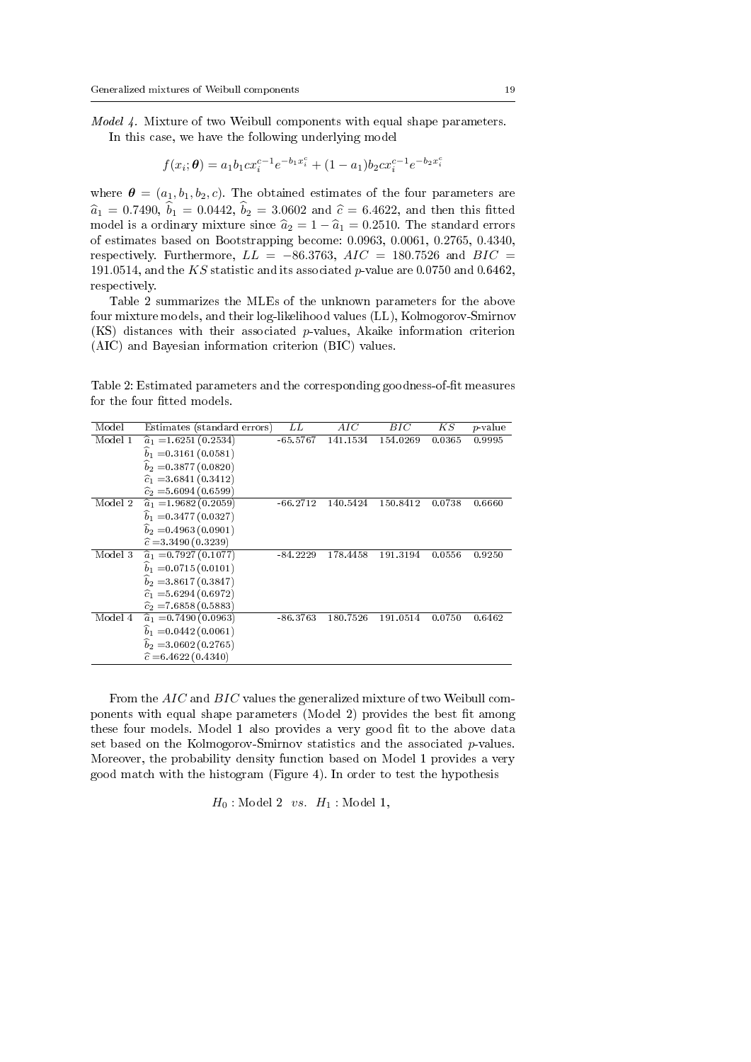Model 4. Mixture of two Weibull components with equal shape parameters.

In this case, we have the following underlying model

$$
f(x_i; \theta) = a_1 b_1 c x_i^{c-1} e^{-b_1 x_i^c} + (1 - a_1) b_2 c x_i^{c-1} e^{-b_2 x_i^c}
$$

where  $\boldsymbol{\theta} = (a_1, b_1, b_2, c)$ . The obtained estimates of the four parameters are  $\hat{a}_1 = 0.7490, \hat{b}_1 = 0.0442, \hat{b}_2 = 3.0602$  and  $\hat{c} = 6.4622$ , and then this fitted model is a ordinary mixture since  $\hat{a}_2 = 1 - \hat{a}_1 = 0.2510$ . The standard errors of estimates based on Bootstrapping become: 0.0963, 0.0061, 0.2765, 0.4340, respectively. Furthermore,  $LL = -86.3763$ ,  $AIC = 180.7526$  and  $BIC =$ 191.0514, and the KS statistic and its associated p-value are 0.0750 and 0.6462. respectively.

Table 2 summarizes the MLEs of the unknown parameters for the above four mixture models, and their log-likelihood values (LL), Kolmogorov-Smirnov (KS) distances with their associated p-values, Akaike information criterion (AIC) and Bayesian information criterion (BIC) values.

Table 2: Estimated parameters and the corresponding goodness-of-fit measures for the four fitted models.

| Model   | Estimates (standard errors)   | LL         | AIC      | BIC      | K S    | <i>p</i> -value |
|---------|-------------------------------|------------|----------|----------|--------|-----------------|
| Model 1 | $\hat{a}_1 = 1.6251(0.2534)$  | $-65.5767$ | 141.1534 | 154.0269 | 0.0365 | 0.9995          |
|         | $b_1 = 0.3161(0.0581)$        |            |          |          |        |                 |
|         | $b_2 = 0.3877(0.0820)$        |            |          |          |        |                 |
|         | $\hat{c}_1 = 3.6841(0.3412)$  |            |          |          |        |                 |
|         | $\hat{c}_2 = 5.6094(0.6599)$  |            |          |          |        |                 |
| Model 2 | $\hat{a}_1 = 1.9682(0.2059)$  | $-66.2712$ | 140.5424 | 150.8412 | 0.0738 | 0.6660          |
|         | $\hat{b}_1 = 0.3477(0.0327)$  |            |          |          |        |                 |
|         | $b_2 = 0.4963(0.0901)$        |            |          |          |        |                 |
|         | $\hat{c} = 3.3490(0.3239)$    |            |          |          |        |                 |
| Model 3 | $\hat{a}_1 = 0.7927(0.1077)$  | $-84.2229$ | 178.4458 | 191.3194 | 0.0556 | 0.9250          |
|         | $b_1 = 0.0715(0.0101)$        |            |          |          |        |                 |
|         | $b_2 = 3.8617(0.3847)$        |            |          |          |        |                 |
|         | $\hat{c}_1 = 5.6294(0.6972)$  |            |          |          |        |                 |
|         | $\hat{c}_2$ = 7.6858 (0.5883) |            |          |          |        |                 |
| Model 4 | $\hat{a}_1 = 0.7490(0.0963)$  | $-86.3763$ | 180.7526 | 191.0514 | 0.0750 | 0.6462          |
|         | $b_1 = 0.0442(0.0061)$        |            |          |          |        |                 |
|         | $b_2 = 3.0602(0.2765)$        |            |          |          |        |                 |
|         | $\hat{c} = 6.4622(0.4340)$    |            |          |          |        |                 |
|         |                               |            |          |          |        |                 |

From the AIC and BIC values the generalized mixture of two Weibull components with equal shape parameters (Model 2) provides the best fit among these four models. Model 1 also provides a very good fit to the above data set based on the Kolmogorov-Smirnov statistics and the associated  $p$ -values. Moreover, the probability density function based on Model 1 provides a very good match with the histogram (Figure 4). In order to test the hypothesis

$$
H_0: \text{Model 2}\ \ vs.\ \ H_1: \text{Model 1},
$$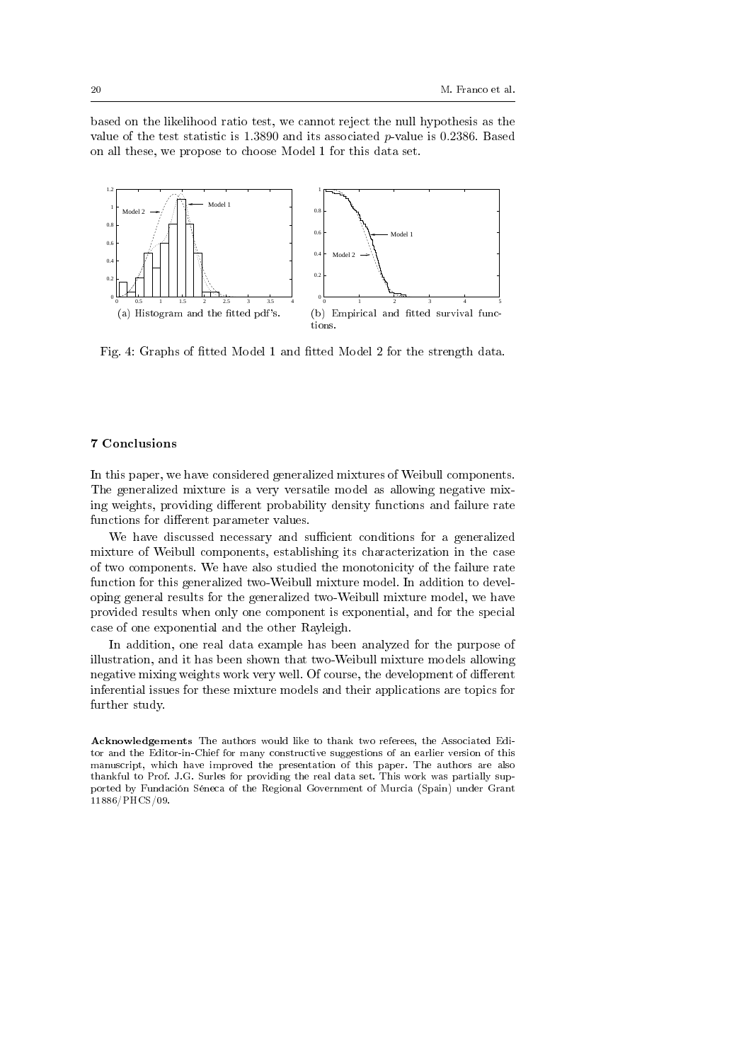based on the likelihood ratio test, we cannot reject the null hypothesis as the value of the test statistic is  $1.3890$  and its associated p-value is 0.2386. Based on all these, we propose to choose Model 1 for this data set.



Fig. 4: Graphs of fitted Model 1 and fitted Model 2 for the strength data.

#### 7 Conclusions

In this paper, we have considered generalized mixtures of Weibull components. The generalized mixture is a very versatile model as allowing negative mixing weights, providing different probability density functions and failure rate functions for different parameter values.

We have discussed necessary and sufficient conditions for a generalized mixture of Weibull components, establishing its characterization in the case of two components. We have also studied the monotonicity of the failure rate function for this generalized two-Weibull mixture model. In addition to developing general results for the generalized two-Weibull mixture model, we have provided results when only one component is exponential, and for the special case of one exponential and the other Rayleigh.

In addition, one real data example has been analyzed for the purpose of illustration, and it has been shown that two-Weibull mixture models allowing negative mixing weights work very well. Of course, the development of different inferential issues for these mixture models and their applications are topics for further study.

Acknowledgements The authors would like to thank two referees, the Associated Editor and the Editor-in-Chief for many constructive suggestions of an earlier version of this manuscript, which have improved the presentation of this paper. The authors are also thankful to Prof. J.G. Surles for providing the real data set. This work was partially supported by Fundación Séneca of the Regional Government of Murcia (Spain) under Grant 11886/PHCS/09.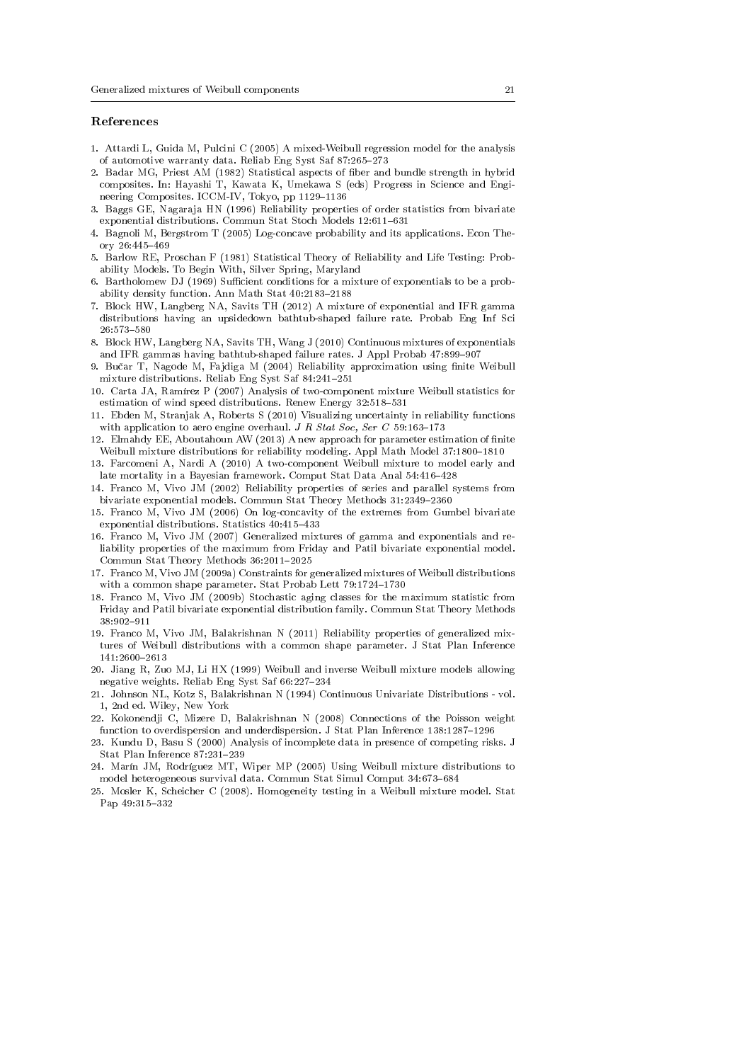#### References

- 1. Attardi L, Guida M, Pulcini C (2005) A mixed-Weibull regression model for the analysis of automotive warranty data. Reliab Eng Syst Saf 87:265-273
- 2. Badar MG, Priest AM (1982) Statistical aspects of ber and bundle strength in hybrid composites. In: Hayashi T, Kawata K, Umekawa S (eds) Progress in Science and Engineering Composites. ICCM-IV, Tokyo, pp 1129-1136
- 3. Baggs GE, Nagaraja HN (1996) Reliability properties of order statistics from bivariate exponential distributions. Commun Stat Stoch Models  $12:611-631$
- 4. Bagnoli M, Bergstrom T (2005) Log-concave probability and its applications. Econ Theory  $26:445-469$
- 5. Barlow RE, Proschan F (1981) Statistical Theory of Reliability and Life Testing: Probability Models. To Begin With, Silver Spring, Maryland
- 6. Bartholomew DJ (1969) Sufficient conditions for a mixture of exponentials to be a probability density function. Ann Math Stat 40:2183-2188
- 7. Block HW, Langberg NA, Savits TH (2012) A mixture of exponential and IFR gamma distributions having an upsidedown bathtub-shaped failure rate. Probab Eng Inf Sci 26:573-580
- 8. Block HW, Langberg NA, Savits TH, Wang J (2010) Continuous mixtures of exponentials and IFR gammas having bathtub-shaped failure rates. J Appl Probab 47:899-907
- 9. Bučar T, Nagode M, Fajdiga M (2004) Reliability approximation using finite Weibull mixture distributions. Reliab Eng Syst Saf 84:241-251
- 10. Carta JA, Ramírez P (2007) Analysis of two-component mixture Weibull statistics for estimation of wind speed distributions. Renew Energy 32:518-531
- 11. Ebden M, Stranjak A, Roberts S (2010) Visualizing uncertainty in reliability functions with application to aero engine overhaul. J R Stat Soc, Ser C 59:163-173
- 12. Elmahdy EE, Aboutahoun AW (2013) A new approach for parameter estimation of nite Weibull mixture distributions for reliability modeling. Appl Math Model 37:1800-1810
- 13. Farcomeni A, Nardi A (2010) A two-component Weibull mixture to model early and late mortality in a Bayesian framework. Comput Stat Data Anal 54:416-428
- 14. Franco M, Vivo JM (2002) Reliability properties of series and parallel systems from bivariate exponential models. Commun Stat Theory Methods 31:2349-2360
- 15. Franco M, Vivo JM (2006) On log-concavity of the extremes from Gumbel bivariate exponential distributions. Statistics  $40:415-433$
- 16. Franco M, Vivo JM (2007) Generalized mixtures of gamma and exponentials and reliability properties of the maximum from Friday and Patil bivariate exponential model. Commun Stat Theory Methods 36:2011-2025
- 17. Franco M, Vivo JM (2009a) Constraints for generalized mixtures of Weibull distributions with a common shape parameter. Stat Probab Lett 79:1724-1730
- 18. Franco M, Vivo JM (2009b) Stochastic aging classes for the maximum statistic from Friday and Patil bivariate exponential distribution family. Commun Stat Theory Methods 38:902911
- 19. Franco M, Vivo JM, Balakrishnan N (2011) Reliability properties of generalized mixtures of Weibull distributions with a common shape parameter. J Stat Plan Inference 141:2600-2613
- 20. Jiang R, Zuo MJ, Li HX (1999) Weibull and inverse Weibull mixture models allowing negative weights. Reliab Eng Syst Saf 66:227-234
- 21. Johnson NL, Kotz S, Balakrishnan N (1994) Continuous Univariate Distributions vol. 1, 2nd ed. Wiley, New York
- 22. Kokonendji C, Mizere D, Balakrishnan N (2008) Connections of the Poisson weight function to overdispersion and underdispersion. J Stat Plan Inference 138:1287-1296
- 23. Kundu D, Basu S (2000) Analysis of incomplete data in presence of competing risks. J Stat Plan Inference  $87:231-239$
- 24. Marín JM, Rodríguez MT, Wiper MP (2005) Using Weibull mixture distributions to model heterogeneous survival data. Commun Stat Simul Comput 34:673-684
- 25. Mosler K, Scheicher C (2008). Homogeneity testing in a Weibull mixture model. Stat Pap 49:315-332